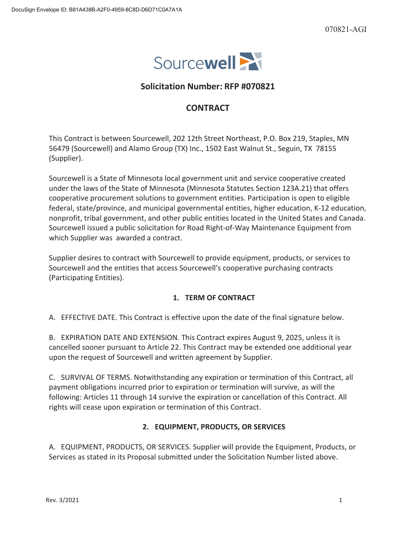

# **Solicitation Number: RFP #070821**

# **CONTRACT**

This Contract is between Sourcewell, 202 12th Street Northeast, P.O. Box 219, Staples, MN 56479 (Sourcewell) and Alamo Group (TX) Inc., 1502 East Walnut St., Seguin, TX 78155 (Supplier).

Sourcewell is a State of Minnesota local government unit and service cooperative created under the laws of the State of Minnesota (Minnesota Statutes Section 123A.21) that offers cooperative procurement solutions to government entities. Participation is open to eligible federal, state/province, and municipal governmental entities, higher education, K-12 education, nonprofit, tribal government, and other public entities located in the United States and Canada. Sourcewell issued a public solicitation for Road Right-of-Way Maintenance Equipment from which Supplier was awarded a contract.

Supplier desires to contract with Sourcewell to provide equipment, products, or services to Sourcewell and the entities that access Sourcewell's cooperative purchasing contracts (Participating Entities).

## **1. TERM OF CONTRACT**

A. EFFECTIVE DATE. This Contract is effective upon the date of the final signature below.

B. EXPIRATION DATE AND EXTENSION. This Contract expires August 9, 2025, unless it is cancelled sooner pursuant to Article 22. This Contract may be extended one additional year upon the request of Sourcewell and written agreement by Supplier.

C. SURVIVAL OF TERMS. Notwithstanding any expiration or termination of this Contract, all payment obligations incurred prior to expiration or termination will survive, as will the following: Articles 11 through 14 survive the expiration or cancellation of this Contract. All rights will cease upon expiration or termination of this Contract.

## **2. EQUIPMENT, PRODUCTS, OR SERVICES**

A. EQUIPMENT, PRODUCTS, OR SERVICES. Supplier will provide the Equipment, Products, or Services as stated in its Proposal submitted under the Solicitation Number listed above.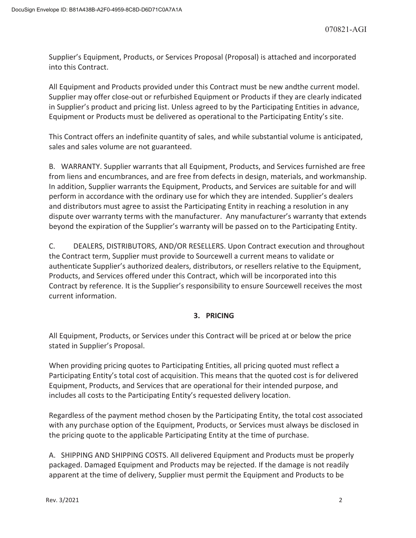Supplier's Equipment, Products, or Services Proposal (Proposal) is attached and incorporated into this Contract.

All Equipment and Products provided under this Contract must be new andthe current model. Supplier may offer close-out or refurbished Equipment or Products if they are clearly indicated in Supplier's product and pricing list. Unless agreed to by the Participating Entities in advance, Equipment or Products must be delivered as operational to the Participating Entity's site.

This Contract offers an indefinite quantity of sales, and while substantial volume is anticipated, sales and sales volume are not guaranteed.

B. WARRANTY. Supplier warrants that all Equipment, Products, and Services furnished are free from liens and encumbrances, and are free from defects in design, materials, and workmanship. In addition, Supplier warrants the Equipment, Products, and Services are suitable for and will perform in accordance with the ordinary use for which they are intended. Supplier's dealers and distributors must agree to assist the Participating Entity in reaching a resolution in any dispute over warranty terms with the manufacturer. Any manufacturer's warranty that extends beyond the expiration of the Supplier's warranty will be passed on to the Participating Entity.

C. DEALERS, DISTRIBUTORS, AND/OR RESELLERS. Upon Contract execution and throughout the Contract term, Supplier must provide to Sourcewell a current means to validate or authenticate Supplier's authorized dealers, distributors, or resellers relative to the Equipment, Products, and Services offered under this Contract, which will be incorporated into this Contract by reference. It is the Supplier's responsibility to ensure Sourcewell receives the most current information.

# **3. PRICING**

All Equipment, Products, or Services under this Contract will be priced at or below the price stated in Supplier's Proposal.

When providing pricing quotes to Participating Entities, all pricing quoted must reflect a Participating Entity's total cost of acquisition. This means that the quoted cost is for delivered Equipment, Products, and Services that are operational for their intended purpose, and includes all costs to the Participating Entity's requested delivery location.

Regardless of the payment method chosen by the Participating Entity, the total cost associated with any purchase option of the Equipment, Products, or Services must always be disclosed in the pricing quote to the applicable Participating Entity at the time of purchase.

A. SHIPPING AND SHIPPING COSTS. All delivered Equipment and Products must be properly packaged. Damaged Equipment and Products may be rejected. If the damage is not readily apparent at the time of delivery, Supplier must permit the Equipment and Products to be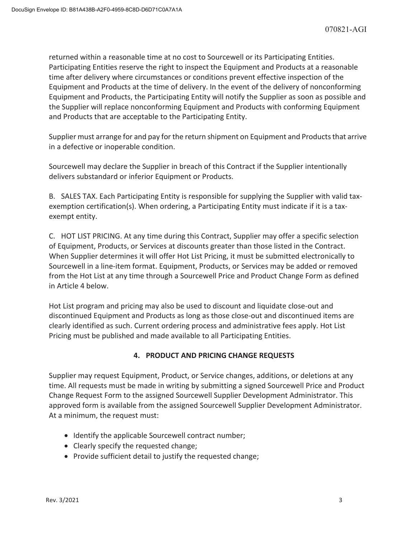returned within a reasonable time at no cost to Sourcewell or its Participating Entities. Participating Entities reserve the right to inspect the Equipment and Products at a reasonable time after delivery where circumstances or conditions prevent effective inspection of the Equipment and Products at the time of delivery. In the event of the delivery of nonconforming Equipment and Products, the Participating Entity will notify the Supplier as soon as possible and the Supplier will replace nonconforming Equipment and Products with conforming Equipment and Products that are acceptable to the Participating Entity.

Supplier must arrange for and pay for the return shipment on Equipment and Products that arrive in a defective or inoperable condition.

Sourcewell may declare the Supplier in breach of this Contract if the Supplier intentionally delivers substandard or inferior Equipment or Products.

B. SALES TAX. Each Participating Entity is responsible for supplying the Supplier with valid taxexemption certification(s). When ordering, a Participating Entity must indicate if it is a taxexempt entity.

C. HOT LIST PRICING. At any time during this Contract, Supplier may offer a specific selection of Equipment, Products, or Services at discounts greater than those listed in the Contract. When Supplier determines it will offer Hot List Pricing, it must be submitted electronically to Sourcewell in a line-item format. Equipment, Products, or Services may be added or removed from the Hot List at any time through a Sourcewell Price and Product Change Form as defined in Article 4 below.

Hot List program and pricing may also be used to discount and liquidate close-out and discontinued Equipment and Products as long as those close-out and discontinued items are clearly identified as such. Current ordering process and administrative fees apply. Hot List Pricing must be published and made available to all Participating Entities.

# **4. PRODUCT AND PRICING CHANGE REQUESTS**

Supplier may request Equipment, Product, or Service changes, additions, or deletions at any time. All requests must be made in writing by submitting a signed Sourcewell Price and Product Change Request Form to the assigned Sourcewell Supplier Development Administrator. This approved form is available from the assigned Sourcewell Supplier Development Administrator. At a minimum, the request must:

- Identify the applicable Sourcewell contract number;
- Clearly specify the requested change;
- Provide sufficient detail to justify the requested change;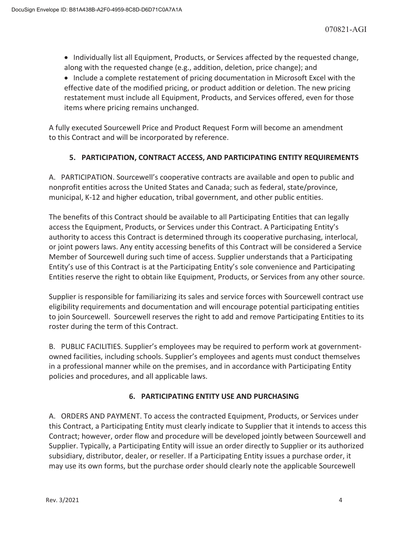• Individually list all Equipment, Products, or Services affected by the requested change, along with the requested change (e.g., addition, deletion, price change); and

• Include a complete restatement of pricing documentation in Microsoft Excel with the effective date of the modified pricing, or product addition or deletion. The new pricing restatement must include all Equipment, Products, and Services offered, even for those items where pricing remains unchanged.

A fully executed Sourcewell Price and Product Request Form will become an amendment to this Contract and will be incorporated by reference.

# **5. PARTICIPATION, CONTRACT ACCESS, AND PARTICIPATING ENTITY REQUIREMENTS**

A. PARTICIPATION. Sourcewell's cooperative contracts are available and open to public and nonprofit entities across the United States and Canada; such as federal, state/province, municipal, K-12 and higher education, tribal government, and other public entities.

The benefits of this Contract should be available to all Participating Entities that can legally access the Equipment, Products, or Services under this Contract. A Participating Entity's authority to access this Contract is determined through its cooperative purchasing, interlocal, or joint powers laws. Any entity accessing benefits of this Contract will be considered a Service Member of Sourcewell during such time of access. Supplier understands that a Participating Entity's use of this Contract is at the Participating Entity's sole convenience and Participating Entities reserve the right to obtain like Equipment, Products, or Services from any other source.

Supplier is responsible for familiarizing its sales and service forces with Sourcewell contract use eligibility requirements and documentation and will encourage potential participating entities to join Sourcewell. Sourcewell reserves the right to add and remove Participating Entities to its roster during the term of this Contract.

B. PUBLIC FACILITIES. Supplier's employees may be required to perform work at governmentowned facilities, including schools. Supplier's employees and agents must conduct themselves in a professional manner while on the premises, and in accordance with Participating Entity policies and procedures, and all applicable laws.

# **6. PARTICIPATING ENTITY USE AND PURCHASING**

A. ORDERS AND PAYMENT. To access the contracted Equipment, Products, or Services under this Contract, a Participating Entity must clearly indicate to Supplier that it intends to access this Contract; however, order flow and procedure will be developed jointly between Sourcewell and Supplier. Typically, a Participating Entity will issue an order directly to Supplier or its authorized subsidiary, distributor, dealer, or reseller. If a Participating Entity issues a purchase order, it may use its own forms, but the purchase order should clearly note the applicable Sourcewell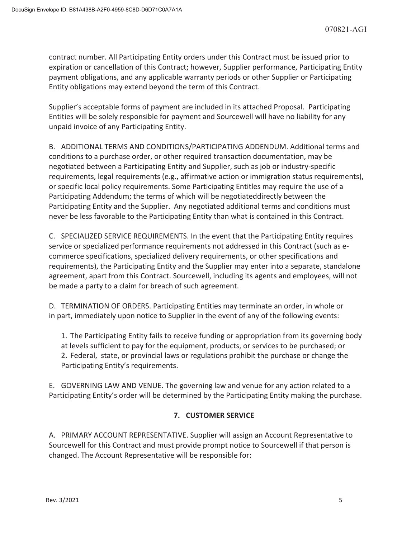contract number. All Participating Entity orders under this Contract must be issued prior to expiration or cancellation of this Contract; however, Supplier performance, Participating Entity payment obligations, and any applicable warranty periods or other Supplier or Participating Entity obligations may extend beyond the term of this Contract.

Supplier's acceptable forms of payment are included in its attached Proposal. Participating Entities will be solely responsible for payment and Sourcewell will have no liability for any unpaid invoice of any Participating Entity.

B. ADDITIONAL TERMS AND CONDITIONS/PARTICIPATING ADDENDUM. Additional terms and conditions to a purchase order, or other required transaction documentation, may be negotiated between a Participating Entity and Supplier, such as job or industry-specific requirements, legal requirements (e.g., affirmative action or immigration status requirements), or specific local policy requirements. Some Participating Entitles may require the use of a Participating Addendum; the terms of which will be negotiateddirectly between the Participating Entity and the Supplier. Any negotiated additional terms and conditions must never be less favorable to the Participating Entity than what is contained in this Contract.

C. SPECIALIZED SERVICE REQUIREMENTS. In the event that the Participating Entity requires service or specialized performance requirements not addressed in this Contract (such as ecommerce specifications, specialized delivery requirements, or other specifications and requirements), the Participating Entity and the Supplier may enter into a separate, standalone agreement, apart from this Contract. Sourcewell, including its agents and employees, will not be made a party to a claim for breach of such agreement.

D. TERMINATION OF ORDERS. Participating Entities may terminate an order, in whole or in part, immediately upon notice to Supplier in the event of any of the following events:

1. The Participating Entity fails to receive funding or appropriation from its governing body at levels sufficient to pay for the equipment, products, or services to be purchased; or 2. Federal, state, or provincial laws or regulations prohibit the purchase or change the Participating Entity's requirements.

E. GOVERNING LAW AND VENUE. The governing law and venue for any action related to a Participating Entity's order will be determined by the Participating Entity making the purchase.

# **7. CUSTOMER SERVICE**

A. PRIMARY ACCOUNT REPRESENTATIVE. Supplier will assign an Account Representative to Sourcewell for this Contract and must provide prompt notice to Sourcewell if that person is changed. The Account Representative will be responsible for: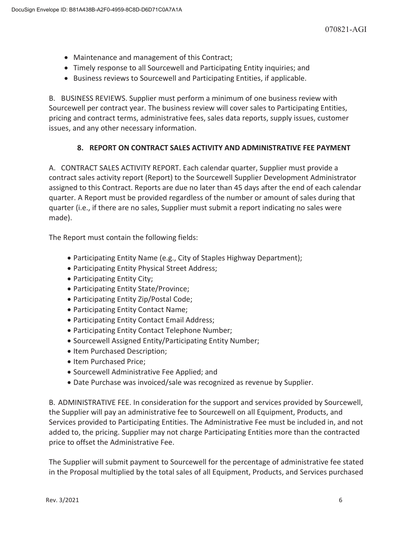- Maintenance and management of this Contract;
- Timely response to all Sourcewell and Participating Entity inquiries; and
- Business reviews to Sourcewell and Participating Entities, if applicable.

B. BUSINESS REVIEWS. Supplier must perform a minimum of one business review with Sourcewell per contract year. The business review will cover sales to Participating Entities, pricing and contract terms, administrative fees, sales data reports, supply issues, customer issues, and any other necessary information.

# **8. REPORT ON CONTRACT SALES ACTIVITY AND ADMINISTRATIVE FEE PAYMENT**

A. CONTRACT SALES ACTIVITY REPORT. Each calendar quarter, Supplier must provide a contract sales activity report (Report) to the Sourcewell Supplier Development Administrator assigned to this Contract. Reports are due no later than 45 days after the end of each calendar quarter. A Report must be provided regardless of the number or amount of sales during that quarter (i.e., if there are no sales, Supplier must submit a report indicating no sales were made).

The Report must contain the following fields:

- Participating Entity Name (e.g., City of Staples Highway Department);
- Participating Entity Physical Street Address;
- Participating Entity City;
- Participating Entity State/Province;
- Participating Entity Zip/Postal Code;
- Participating Entity Contact Name;
- Participating Entity Contact Email Address;
- Participating Entity Contact Telephone Number;
- Sourcewell Assigned Entity/Participating Entity Number;
- Item Purchased Description;
- Item Purchased Price;
- x Sourcewell Administrative Fee Applied; and
- Date Purchase was invoiced/sale was recognized as revenue by Supplier.

B. ADMINISTRATIVE FEE. In consideration for the support and services provided by Sourcewell, the Supplier will pay an administrative fee to Sourcewell on all Equipment, Products, and Services provided to Participating Entities. The Administrative Fee must be included in, and not added to, the pricing. Supplier may not charge Participating Entities more than the contracted price to offset the Administrative Fee.

The Supplier will submit payment to Sourcewell for the percentage of administrative fee stated in the Proposal multiplied by the total sales of all Equipment, Products, and Services purchased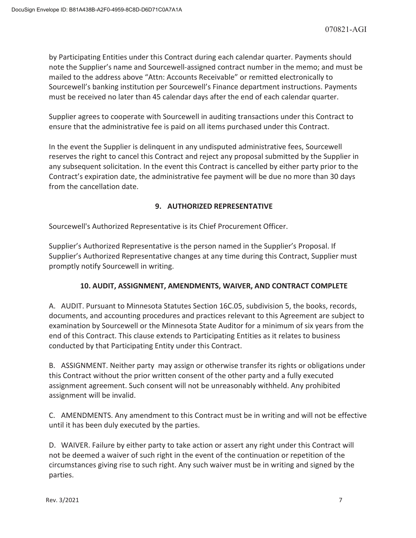by Participating Entities under this Contract during each calendar quarter. Payments should note the Supplier's name and Sourcewell-assigned contract number in the memo; and must be mailed to the address above "Attn: Accounts Receivable" or remitted electronically to Sourcewell's banking institution per Sourcewell's Finance department instructions. Payments must be received no later than 45 calendar days after the end of each calendar quarter.

Supplier agrees to cooperate with Sourcewell in auditing transactions under this Contract to ensure that the administrative fee is paid on all items purchased under this Contract.

In the event the Supplier is delinquent in any undisputed administrative fees, Sourcewell reserves the right to cancel this Contract and reject any proposal submitted by the Supplier in any subsequent solicitation. In the event this Contract is cancelled by either party prior to the Contract's expiration date, the administrative fee payment will be due no more than 30 days from the cancellation date.

# **9. AUTHORIZED REPRESENTATIVE**

Sourcewell's Authorized Representative is its Chief Procurement Officer.

Supplier's Authorized Representative is the person named in the Supplier's Proposal. If Supplier's Authorized Representative changes at any time during this Contract, Supplier must promptly notify Sourcewell in writing.

# **10. AUDIT, ASSIGNMENT, AMENDMENTS, WAIVER, AND CONTRACT COMPLETE**

A. AUDIT. Pursuant to Minnesota Statutes Section 16C.05, subdivision 5, the books, records, documents, and accounting procedures and practices relevant to this Agreement are subject to examination by Sourcewell or the Minnesota State Auditor for a minimum of six years from the end of this Contract. This clause extends to Participating Entities as it relates to business conducted by that Participating Entity under this Contract.

B. ASSIGNMENT. Neither party may assign or otherwise transfer its rights or obligations under this Contract without the prior written consent of the other party and a fully executed assignment agreement. Such consent will not be unreasonably withheld. Any prohibited assignment will be invalid.

C. AMENDMENTS. Any amendment to this Contract must be in writing and will not be effective until it has been duly executed by the parties.

D. WAIVER. Failure by either party to take action or assert any right under this Contract will not be deemed a waiver of such right in the event of the continuation or repetition of the circumstances giving rise to such right. Any such waiver must be in writing and signed by the parties.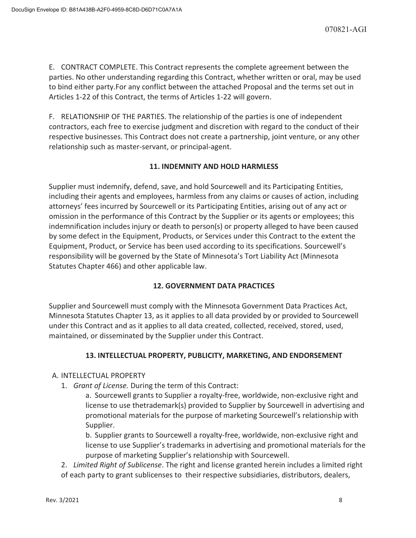E. CONTRACT COMPLETE. This Contract represents the complete agreement between the parties. No other understanding regarding this Contract, whether written or oral, may be used to bind either party.For any conflict between the attached Proposal and the terms set out in Articles 1-22 of this Contract, the terms of Articles 1-22 will govern.

F. RELATIONSHIP OF THE PARTIES. The relationship of the parties is one of independent contractors, each free to exercise judgment and discretion with regard to the conduct of their respective businesses. This Contract does not create a partnership, joint venture, or any other relationship such as master-servant, or principal-agent.

# **11. INDEMNITY AND HOLD HARMLESS**

Supplier must indemnify, defend, save, and hold Sourcewell and its Participating Entities, including their agents and employees, harmless from any claims or causes of action, including attorneys' fees incurred by Sourcewell or its Participating Entities, arising out of any act or omission in the performance of this Contract by the Supplier or its agents or employees; this indemnification includes injury or death to person(s) or property alleged to have been caused by some defect in the Equipment, Products, or Services under this Contract to the extent the Equipment, Product, or Service has been used according to its specifications. Sourcewell's responsibility will be governed by the State of Minnesota's Tort Liability Act (Minnesota Statutes Chapter 466) and other applicable law.

# **12. GOVERNMENT DATA PRACTICES**

Supplier and Sourcewell must comply with the Minnesota Government Data Practices Act, Minnesota Statutes Chapter 13, as it applies to all data provided by or provided to Sourcewell under this Contract and as it applies to all data created, collected, received, stored, used, maintained, or disseminated by the Supplier under this Contract.

# **13. INTELLECTUAL PROPERTY, PUBLICITY, MARKETING, AND ENDORSEMENT**

# A. INTELLECTUAL PROPERTY

1. *Grant of License.* During the term of this Contract:

a. Sourcewell grants to Supplier a royalty-free, worldwide, non-exclusive right and license to use thetrademark(s) provided to Supplier by Sourcewell in advertising and promotional materials for the purpose of marketing Sourcewell's relationship with Supplier.

b. Supplier grants to Sourcewell a royalty-free, worldwide, non-exclusive right and license to use Supplier's trademarks in advertising and promotional materials for the purpose of marketing Supplier's relationship with Sourcewell.

2. *Limited Right of Sublicense*. The right and license granted herein includes a limited right of each party to grant sublicenses to their respective subsidiaries, distributors, dealers,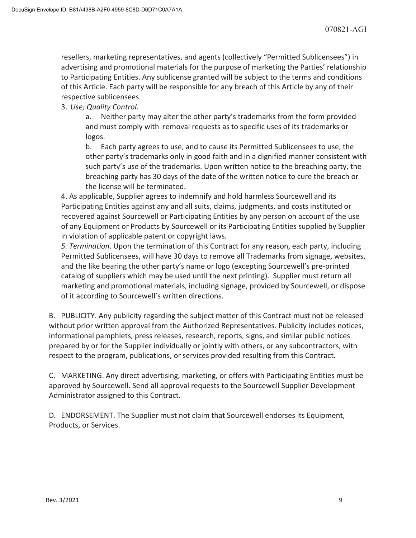resellers, marketing representatives, and agents (collectively "Permitted Sublicensees") in advertising and promotional materials for the purpose of marketing the Parties' relationship to Participating Entities. Any sublicense granted will be subject to the terms and conditions of this Article. Each party will be responsible for any breach of this Article by any of their respective sublicensees.

# 3. *Use; Quality Control.*

a. Neither party may alter the other party's trademarks from the form provided and must comply with removal requests as to specific uses of its trademarks or logos.

b. Each party agrees to use, and to cause its Permitted Sublicensees to use, the other party's trademarks only in good faith and in a dignified manner consistent with such party's use of the trademarks. Upon written notice to the breaching party, the breaching party has 30 days of the date of the written notice to cure the breach or the license will be terminated.

4. As applicable, Supplier agrees to indemnify and hold harmless Sourcewell and its Participating Entities against any and all suits, claims, judgments, and costs instituted or recovered against Sourcewell or Participating Entities by any person on account of the use of any Equipment or Products by Sourcewell or its Participating Entities supplied by Supplier in violation of applicable patent or copyright laws.

*5. Termination*. Upon the termination of this Contract for any reason, each party, including Permitted Sublicensees, will have 30 days to remove all Trademarks from signage, websites, and the like bearing the other party's name or logo (excepting Sourcewell's pre-printed catalog of suppliers which may be used until the next printing). Supplier must return all marketing and promotional materials, including signage, provided by Sourcewell, or dispose of it according to Sourcewell's written directions.

B. PUBLICITY. Any publicity regarding the subject matter of this Contract must not be released without prior written approval from the Authorized Representatives. Publicity includes notices, informational pamphlets, press releases, research, reports, signs, and similar public notices prepared by or for the Supplier individually or jointly with others, or any subcontractors, with respect to the program, publications, or services provided resulting from this Contract.

C. MARKETING. Any direct advertising, marketing, or offers with Participating Entities must be approved by Sourcewell. Send all approval requests to the Sourcewell Supplier Development Administrator assigned to this Contract.

D. ENDORSEMENT. The Supplier must not claim that Sourcewell endorses its Equipment, Products, or Services.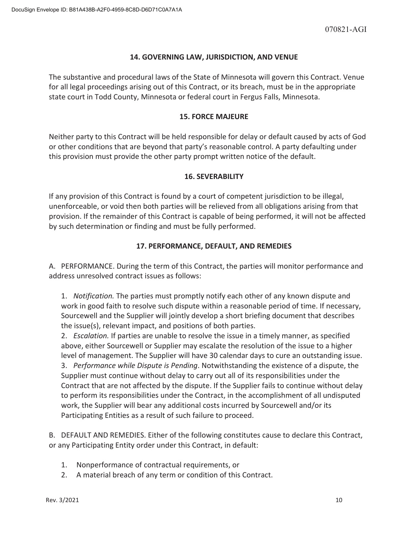## **14. GOVERNING LAW, JURISDICTION, AND VENUE**

The substantive and procedural laws of the State of Minnesota will govern this Contract. Venue for all legal proceedings arising out of this Contract, or its breach, must be in the appropriate state court in Todd County, Minnesota or federal court in Fergus Falls, Minnesota.

## **15. FORCE MAJEURE**

Neither party to this Contract will be held responsible for delay or default caused by acts of God or other conditions that are beyond that party's reasonable control. A party defaulting under this provision must provide the other party prompt written notice of the default.

## **16. SEVERABILITY**

If any provision of this Contract is found by a court of competent jurisdiction to be illegal, unenforceable, or void then both parties will be relieved from all obligations arising from that provision. If the remainder of this Contract is capable of being performed, it will not be affected by such determination or finding and must be fully performed.

## **17. PERFORMANCE, DEFAULT, AND REMEDIES**

A. PERFORMANCE. During the term of this Contract, the parties will monitor performance and address unresolved contract issues as follows:

1. *Notification.* The parties must promptly notify each other of any known dispute and work in good faith to resolve such dispute within a reasonable period of time. If necessary, Sourcewell and the Supplier will jointly develop a short briefing document that describes the issue(s), relevant impact, and positions of both parties.

2. *Escalation.* If parties are unable to resolve the issue in a timely manner, as specified above, either Sourcewell or Supplier may escalate the resolution of the issue to a higher level of management. The Supplier will have 30 calendar days to cure an outstanding issue. 3. *Performance while Dispute is Pending*. Notwithstanding the existence of a dispute, the Supplier must continue without delay to carry out all of its responsibilities under the Contract that are not affected by the dispute. If the Supplier fails to continue without delay to perform its responsibilities under the Contract, in the accomplishment of all undisputed work, the Supplier will bear any additional costs incurred by Sourcewell and/or its Participating Entities as a result of such failure to proceed.

B. DEFAULT AND REMEDIES. Either of the following constitutes cause to declare this Contract, or any Participating Entity order under this Contract, in default:

- 1. Nonperformance of contractual requirements, or
- 2. A material breach of any term or condition of this Contract.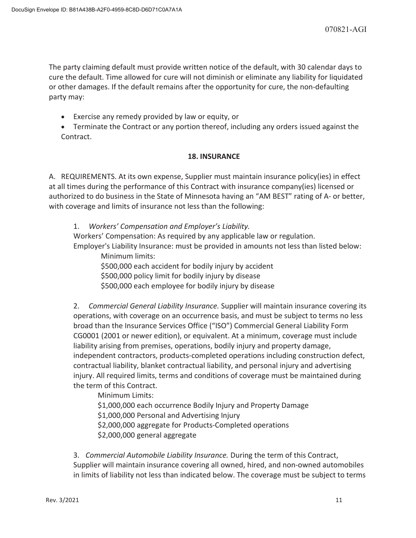The party claiming default must provide written notice of the default, with 30 calendar days to cure the default. Time allowed for cure will not diminish or eliminate any liability for liquidated or other damages. If the default remains after the opportunity for cure, the non-defaulting party may:

- **Exercise any remedy provided by law or equity, or**
- Terminate the Contract or any portion thereof, including any orders issued against the Contract.

## **18. INSURANCE**

A. REQUIREMENTS. At its own expense, Supplier must maintain insurance policy(ies) in effect at all times during the performance of this Contract with insurance company(ies) licensed or authorized to do business in the State of Minnesota having an "AM BEST" rating of A- or better, with coverage and limits of insurance not less than the following:

1. *Workers' Compensation and Employer's Liability.* Workers' Compensation: As required by any applicable law or regulation. Employer's Liability Insurance: must be provided in amounts not less than listed below:

Minimum limits: \$500,000 each accident for bodily injury by accident \$500,000 policy limit for bodily injury by disease \$500,000 each employee for bodily injury by disease

2. *Commercial General Liability Insurance.* Supplier will maintain insurance covering its operations, with coverage on an occurrence basis, and must be subject to terms no less broad than the Insurance Services Office ("ISO") Commercial General Liability Form CG0001 (2001 or newer edition), or equivalent. At a minimum, coverage must include liability arising from premises, operations, bodily injury and property damage, independent contractors, products-completed operations including construction defect, contractual liability, blanket contractual liability, and personal injury and advertising injury. All required limits, terms and conditions of coverage must be maintained during the term of this Contract.

 Minimum Limits: \$1,000,000 each occurrence Bodily Injury and Property Damage

\$1,000,000 Personal and Advertising Injury

\$2,000,000 aggregate for Products-Completed operations

\$2,000,000 general aggregate

3. *Commercial Automobile Liability Insurance.* During the term of this Contract, Supplier will maintain insurance covering all owned, hired, and non-owned automobiles in limits of liability not less than indicated below. The coverage must be subject to terms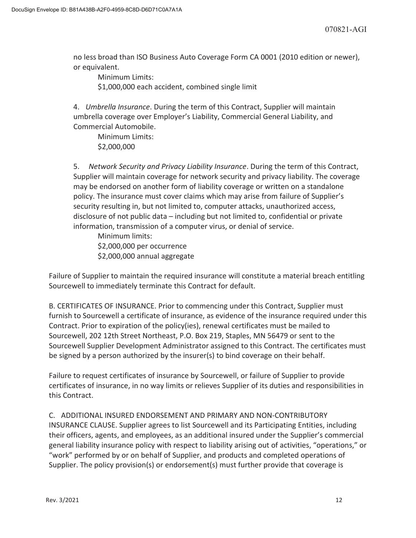no less broad than ISO Business Auto Coverage Form CA 0001 (2010 edition or newer), or equivalent.

 Minimum Limits: \$1,000,000 each accident, combined single limit

4. *Umbrella Insurance*. During the term of this Contract, Supplier will maintain umbrella coverage over Employer's Liability, Commercial General Liability, and Commercial Automobile.

 Minimum Limits: \$2,000,000

5. *Network Security and Privacy Liability Insurance*. During the term of this Contract, Supplier will maintain coverage for network security and privacy liability. The coverage may be endorsed on another form of liability coverage or written on a standalone policy. The insurance must cover claims which may arise from failure of Supplier's security resulting in, but not limited to, computer attacks, unauthorized access, disclosure of not public data – including but not limited to, confidential or private information, transmission of a computer virus, or denial of service.

 Minimum limits: \$2,000,000 per occurrence \$2,000,000 annual aggregate

Failure of Supplier to maintain the required insurance will constitute a material breach entitling Sourcewell to immediately terminate this Contract for default.

B. CERTIFICATES OF INSURANCE. Prior to commencing under this Contract, Supplier must furnish to Sourcewell a certificate of insurance, as evidence of the insurance required under this Contract. Prior to expiration of the policy(ies), renewal certificates must be mailed to Sourcewell, 202 12th Street Northeast, P.O. Box 219, Staples, MN 56479 or sent to the Sourcewell Supplier Development Administrator assigned to this Contract. The certificates must be signed by a person authorized by the insurer(s) to bind coverage on their behalf.

Failure to request certificates of insurance by Sourcewell, or failure of Supplier to provide certificates of insurance, in no way limits or relieves Supplier of its duties and responsibilities in this Contract.

C. ADDITIONAL INSURED ENDORSEMENT AND PRIMARY AND NON-CONTRIBUTORY INSURANCE CLAUSE. Supplier agrees to list Sourcewell and its Participating Entities, including their officers, agents, and employees, as an additional insured under the Supplier's commercial general liability insurance policy with respect to liability arising out of activities, "operations," or "work" performed by or on behalf of Supplier, and products and completed operations of Supplier. The policy provision(s) or endorsement(s) must further provide that coverage is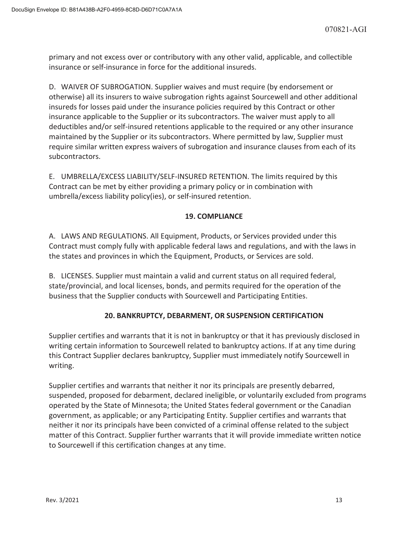primary and not excess over or contributory with any other valid, applicable, and collectible insurance or self-insurance in force for the additional insureds.

D. WAIVER OF SUBROGATION. Supplier waives and must require (by endorsement or otherwise) all its insurers to waive subrogation rights against Sourcewell and other additional insureds for losses paid under the insurance policies required by this Contract or other insurance applicable to the Supplier or its subcontractors. The waiver must apply to all deductibles and/or self-insured retentions applicable to the required or any other insurance maintained by the Supplier or its subcontractors. Where permitted by law, Supplier must require similar written express waivers of subrogation and insurance clauses from each of its subcontractors.

E. UMBRELLA/EXCESS LIABILITY/SELF-INSURED RETENTION. The limits required by this Contract can be met by either providing a primary policy or in combination with umbrella/excess liability policy(ies), or self-insured retention.

# **19. COMPLIANCE**

A. LAWS AND REGULATIONS. All Equipment, Products, or Services provided under this Contract must comply fully with applicable federal laws and regulations, and with the laws in the states and provinces in which the Equipment, Products, or Services are sold.

B. LICENSES. Supplier must maintain a valid and current status on all required federal, state/provincial, and local licenses, bonds, and permits required for the operation of the business that the Supplier conducts with Sourcewell and Participating Entities.

# **20. BANKRUPTCY, DEBARMENT, OR SUSPENSION CERTIFICATION**

Supplier certifies and warrants that it is not in bankruptcy or that it has previously disclosed in writing certain information to Sourcewell related to bankruptcy actions. If at any time during this Contract Supplier declares bankruptcy, Supplier must immediately notify Sourcewell in writing.

Supplier certifies and warrants that neither it nor its principals are presently debarred, suspended, proposed for debarment, declared ineligible, or voluntarily excluded from programs operated by the State of Minnesota; the United States federal government or the Canadian government, as applicable; or any Participating Entity. Supplier certifies and warrants that neither it nor its principals have been convicted of a criminal offense related to the subject matter of this Contract. Supplier further warrants that it will provide immediate written notice to Sourcewell if this certification changes at any time.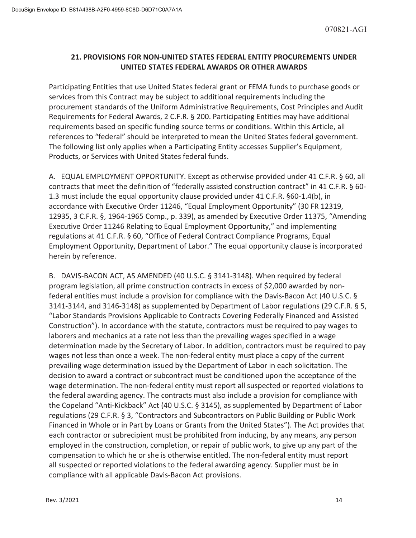## **21. PROVISIONS FOR NON-UNITED STATES FEDERAL ENTITY PROCUREMENTS UNDER UNITED STATES FEDERAL AWARDS OR OTHER AWARDS**

Participating Entities that use United States federal grant or FEMA funds to purchase goods or services from this Contract may be subject to additional requirements including the procurement standards of the Uniform Administrative Requirements, Cost Principles and Audit Requirements for Federal Awards, 2 C.F.R. § 200. Participating Entities may have additional requirements based on specific funding source terms or conditions. Within this Article, all references to "federal" should be interpreted to mean the United States federal government. The following list only applies when a Participating Entity accesses Supplier's Equipment, Products, or Services with United States federal funds.

A. EQUAL EMPLOYMENT OPPORTUNITY. Except as otherwise provided under 41 C.F.R. § 60, all contracts that meet the definition of "federally assisted construction contract" in 41 C.F.R. § 60-1.3 must include the equal opportunity clause provided under 41 C.F.R. §60-1.4(b), in accordance with Executive Order 11246, "Equal Employment Opportunity" (30 FR 12319, 12935, 3 C.F.R. §, 1964-1965 Comp., p. 339), as amended by Executive Order 11375, "Amending Executive Order 11246 Relating to Equal Employment Opportunity," and implementing regulations at 41 C.F.R. § 60, "Office of Federal Contract Compliance Programs, Equal Employment Opportunity, Department of Labor." The equal opportunity clause is incorporated herein by reference.

B. DAVIS-BACON ACT, AS AMENDED (40 U.S.C. § 3141-3148). When required by federal program legislation, all prime construction contracts in excess of \$2,000 awarded by nonfederal entities must include a provision for compliance with the Davis-Bacon Act (40 U.S.C. § 3141-3144, and 3146-3148) as supplemented by Department of Labor regulations (29 C.F.R. § 5, "Labor Standards Provisions Applicable to Contracts Covering Federally Financed and Assisted Construction"). In accordance with the statute, contractors must be required to pay wages to laborers and mechanics at a rate not less than the prevailing wages specified in a wage determination made by the Secretary of Labor. In addition, contractors must be required to pay wages not less than once a week. The non-federal entity must place a copy of the current prevailing wage determination issued by the Department of Labor in each solicitation. The decision to award a contract or subcontract must be conditioned upon the acceptance of the wage determination. The non-federal entity must report all suspected or reported violations to the federal awarding agency. The contracts must also include a provision for compliance with the Copeland "Anti-Kickback" Act (40 U.S.C. § 3145), as supplemented by Department of Labor regulations (29 C.F.R. § 3, "Contractors and Subcontractors on Public Building or Public Work Financed in Whole or in Part by Loans or Grants from the United States"). The Act provides that each contractor or subrecipient must be prohibited from inducing, by any means, any person employed in the construction, completion, or repair of public work, to give up any part of the compensation to which he or she is otherwise entitled. The non-federal entity must report all suspected or reported violations to the federal awarding agency. Supplier must be in compliance with all applicable Davis-Bacon Act provisions.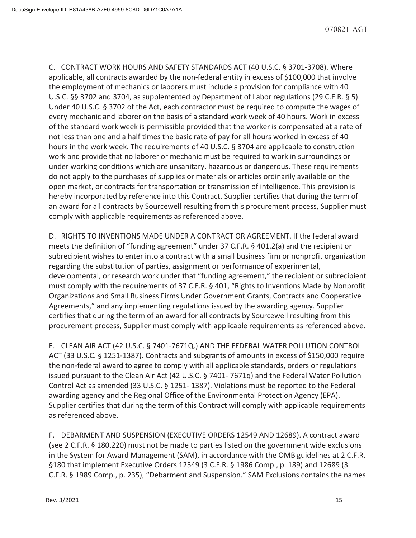C. CONTRACT WORK HOURS AND SAFETY STANDARDS ACT (40 U.S.C. § 3701-3708). Where applicable, all contracts awarded by the non-federal entity in excess of \$100,000 that involve the employment of mechanics or laborers must include a provision for compliance with 40 U.S.C. §§ 3702 and 3704, as supplemented by Department of Labor regulations (29 C.F.R. § 5). Under 40 U.S.C. § 3702 of the Act, each contractor must be required to compute the wages of every mechanic and laborer on the basis of a standard work week of 40 hours. Work in excess of the standard work week is permissible provided that the worker is compensated at a rate of not less than one and a half times the basic rate of pay for all hours worked in excess of 40 hours in the work week. The requirements of 40 U.S.C. § 3704 are applicable to construction work and provide that no laborer or mechanic must be required to work in surroundings or under working conditions which are unsanitary, hazardous or dangerous. These requirements do not apply to the purchases of supplies or materials or articles ordinarily available on the open market, or contracts for transportation or transmission of intelligence. This provision is hereby incorporated by reference into this Contract. Supplier certifies that during the term of an award for all contracts by Sourcewell resulting from this procurement process, Supplier must comply with applicable requirements as referenced above.

D. RIGHTS TO INVENTIONS MADE UNDER A CONTRACT OR AGREEMENT. If the federal award meets the definition of "funding agreement" under 37 C.F.R. § 401.2(a) and the recipient or subrecipient wishes to enter into a contract with a small business firm or nonprofit organization regarding the substitution of parties, assignment or performance of experimental, developmental, or research work under that "funding agreement," the recipient or subrecipient must comply with the requirements of 37 C.F.R. § 401, "Rights to Inventions Made by Nonprofit Organizations and Small Business Firms Under Government Grants, Contracts and Cooperative Agreements," and any implementing regulations issued by the awarding agency. Supplier certifies that during the term of an award for all contracts by Sourcewell resulting from this procurement process, Supplier must comply with applicable requirements as referenced above.

E. CLEAN AIR ACT (42 U.S.C. § 7401-7671Q.) AND THE FEDERAL WATER POLLUTION CONTROL ACT (33 U.S.C. § 1251-1387). Contracts and subgrants of amounts in excess of \$150,000 require the non-federal award to agree to comply with all applicable standards, orders or regulations issued pursuant to the Clean Air Act (42 U.S.C. § 7401- 7671q) and the Federal Water Pollution Control Act as amended (33 U.S.C. § 1251- 1387). Violations must be reported to the Federal awarding agency and the Regional Office of the Environmental Protection Agency (EPA). Supplier certifies that during the term of this Contract will comply with applicable requirements as referenced above.

F. DEBARMENT AND SUSPENSION (EXECUTIVE ORDERS 12549 AND 12689). A contract award (see 2 C.F.R. § 180.220) must not be made to parties listed on the government wide exclusions in the System for Award Management (SAM), in accordance with the OMB guidelines at 2 C.F.R. §180 that implement Executive Orders 12549 (3 C.F.R. § 1986 Comp., p. 189) and 12689 (3 C.F.R. § 1989 Comp., p. 235), "Debarment and Suspension." SAM Exclusions contains the names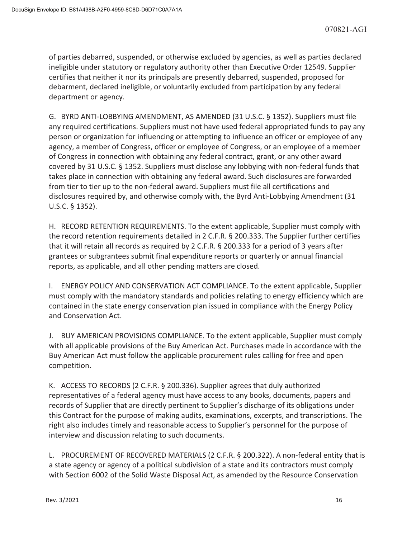of parties debarred, suspended, or otherwise excluded by agencies, as well as parties declared ineligible under statutory or regulatory authority other than Executive Order 12549. Supplier certifies that neither it nor its principals are presently debarred, suspended, proposed for debarment, declared ineligible, or voluntarily excluded from participation by any federal department or agency.

G. BYRD ANTI-LOBBYING AMENDMENT, AS AMENDED (31 U.S.C. § 1352). Suppliers must file any required certifications. Suppliers must not have used federal appropriated funds to pay any person or organization for influencing or attempting to influence an officer or employee of any agency, a member of Congress, officer or employee of Congress, or an employee of a member of Congress in connection with obtaining any federal contract, grant, or any other award covered by 31 U.S.C. § 1352. Suppliers must disclose any lobbying with non-federal funds that takes place in connection with obtaining any federal award. Such disclosures are forwarded from tier to tier up to the non-federal award. Suppliers must file all certifications and disclosures required by, and otherwise comply with, the Byrd Anti-Lobbying Amendment (31 U.S.C. § 1352).

H. RECORD RETENTION REQUIREMENTS. To the extent applicable, Supplier must comply with the record retention requirements detailed in 2 C.F.R. § 200.333. The Supplier further certifies that it will retain all records as required by 2 C.F.R. § 200.333 for a period of 3 years after grantees or subgrantees submit final expenditure reports or quarterly or annual financial reports, as applicable, and all other pending matters are closed.

I. ENERGY POLICY AND CONSERVATION ACT COMPLIANCE. To the extent applicable, Supplier must comply with the mandatory standards and policies relating to energy efficiency which are contained in the state energy conservation plan issued in compliance with the Energy Policy and Conservation Act.

J. BUY AMERICAN PROVISIONS COMPLIANCE. To the extent applicable, Supplier must comply with all applicable provisions of the Buy American Act. Purchases made in accordance with the Buy American Act must follow the applicable procurement rules calling for free and open competition.

K. ACCESS TO RECORDS (2 C.F.R. § 200.336). Supplier agrees that duly authorized representatives of a federal agency must have access to any books, documents, papers and records of Supplier that are directly pertinent to Supplier's discharge of its obligations under this Contract for the purpose of making audits, examinations, excerpts, and transcriptions. The right also includes timely and reasonable access to Supplier's personnel for the purpose of interview and discussion relating to such documents.

L. PROCUREMENT OF RECOVERED MATERIALS (2 C.F.R. § 200.322). A non-federal entity that is a state agency or agency of a political subdivision of a state and its contractors must comply with Section 6002 of the Solid Waste Disposal Act, as amended by the Resource Conservation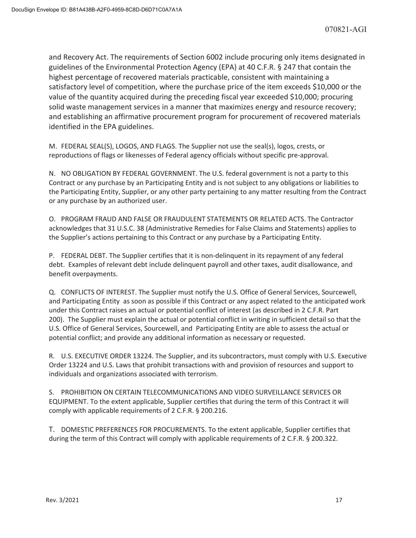and Recovery Act. The requirements of Section 6002 include procuring only items designated in guidelines of the Environmental Protection Agency (EPA) at 40 C.F.R. § 247 that contain the highest percentage of recovered materials practicable, consistent with maintaining a satisfactory level of competition, where the purchase price of the item exceeds \$10,000 or the value of the quantity acquired during the preceding fiscal year exceeded \$10,000; procuring solid waste management services in a manner that maximizes energy and resource recovery; and establishing an affirmative procurement program for procurement of recovered materials identified in the EPA guidelines.

M. FEDERAL SEAL(S), LOGOS, AND FLAGS. The Supplier not use the seal(s), logos, crests, or reproductions of flags or likenesses of Federal agency officials without specific pre-approval.

N. NO OBLIGATION BY FEDERAL GOVERNMENT. The U.S. federal government is not a party to this Contract or any purchase by an Participating Entity and is not subject to any obligations or liabilities to the Participating Entity, Supplier, or any other party pertaining to any matter resulting from the Contract or any purchase by an authorized user.

O. PROGRAM FRAUD AND FALSE OR FRAUDULENT STATEMENTS OR RELATED ACTS. The Contractor acknowledges that 31 U.S.C. 38 (Administrative Remedies for False Claims and Statements) applies to the Supplier's actions pertaining to this Contract or any purchase by a Participating Entity.

P. FEDERAL DEBT. The Supplier certifies that it is non-delinquent in its repayment of any federal debt. Examples of relevant debt include delinquent payroll and other taxes, audit disallowance, and benefit overpayments.

Q. CONFLICTS OF INTEREST. The Supplier must notify the U.S. Office of General Services, Sourcewell, and Participating Entity as soon as possible if this Contract or any aspect related to the anticipated work under this Contract raises an actual or potential conflict of interest (as described in 2 C.F.R. Part 200). The Supplier must explain the actual or potential conflict in writing in sufficient detail so that the U.S. Office of General Services, Sourcewell, and Participating Entity are able to assess the actual or potential conflict; and provide any additional information as necessary or requested.

R. U.S. EXECUTIVE ORDER 13224. The Supplier, and its subcontractors, must comply with U.S. Executive Order 13224 and U.S. Laws that prohibit transactions with and provision of resources and support to individuals and organizations associated with terrorism.

S. PROHIBITION ON CERTAIN TELECOMMUNICATIONS AND VIDEO SURVEILLANCE SERVICES OR EQUIPMENT. To the extent applicable, Supplier certifies that during the term of this Contract it will comply with applicable requirements of 2 C.F.R. § 200.216.

T. DOMESTIC PREFERENCES FOR PROCUREMENTS. To the extent applicable, Supplier certifies that during the term of this Contract will comply with applicable requirements of 2 C.F.R. § 200.322.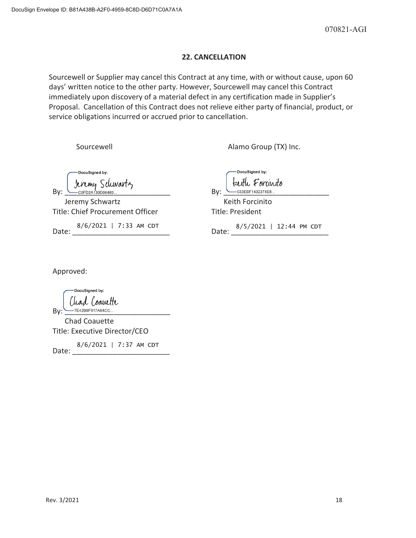## **22. CANCELLATION**

Sourcewell or Supplier may cancel this Contract at any time, with or without cause, upon 60 days' written notice to the other party. However, Sourcewell may cancel this Contract immediately upon discovery of a material defect in any certification made in Supplier's Proposal. Cancellation of this Contract does not relieve either party of financial, product, or service obligations incurred or accrued prior to cancellation.

Sourcewell **Alamo Group (TX)** Inc.

DocuSigned by: By: COFD2A139D06489... 2010. By: COFD2A139D06489... 2010. Also By: COFD2A139D06489...

Jeremy Schwartz **Keith Forcinito** Title: Chief Procurement Officer Title: President

Date: 3/6/2021 | 7:33 AM CDT Date: 3/5/2021 | 12:44 PM CDT Date:  $8/6/2021$  | 7

DocuSianed by: keith Foranito

Approved:

DocuSigned by: Chad Coanette By: \_\_\_\_\_\_\_\_\_\_\_\_\_\_\_\_\_\_\_\_\_\_\_\_\_\_ Chad Coauette

Title: Executive Director/CEO

Date: 8/6/2021 | 7:37 AM CDT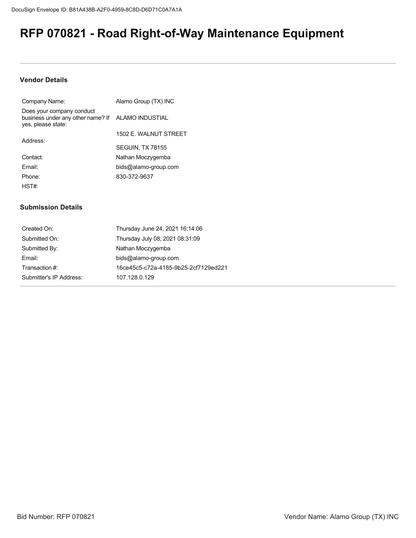# **RFP 070821 - Road Right-of-Way Maintenance Equipment**

## **Vendor Details**

| Company Name:                                                                                        | Alamo Group (TX) INC    |
|------------------------------------------------------------------------------------------------------|-------------------------|
| Does your company conduct<br>business under any other name? If ALAMO INDUSTIAL<br>yes, please state: |                         |
|                                                                                                      | 1502 E. WALNUT STREET   |
| Address:                                                                                             | <b>SEGUIN, TX 78155</b> |
| Contact:                                                                                             | Nathan Moczygemba       |
| Fmail:                                                                                               | bids@alamo-group.com    |
| Phone:                                                                                               | 830-372-9637            |
| HST#:                                                                                                |                         |

## **Submission Details**

| Created On:             | Thursday June 24, 2021 16:14:06      |
|-------------------------|--------------------------------------|
| Submitted On:           | Thursday July 08, 2021 08:31:09      |
| Submitted By:           | Nathan Moczygemba                    |
| Email:                  | bids@alamo-group.com                 |
| Transaction #:          | 16ce45c5-c72a-4185-9b25-2cf7129ed221 |
| Submitter's IP Address: | 107.128.0.129                        |
|                         |                                      |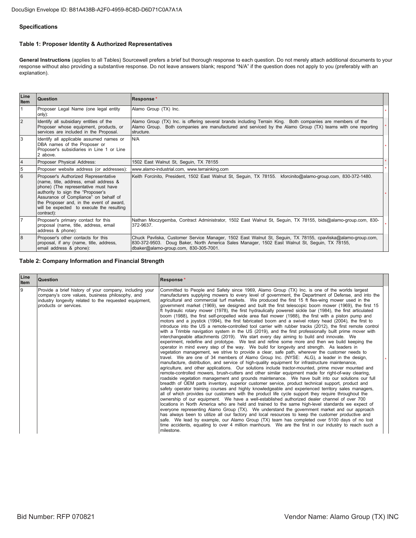## **Specifications**

## Table 1: Proposer Identity & Authorized Representatives

General Instructions (applies to all Tables) Sourcewell prefers a brief but thorough response to each question. Do not merely attach additional documents to your response without also providing a substantive response. Do not leave answers blank; respond "N/A" if the question does not apply to you (preferably with an explanation).

| Line<br><b>Item</b> | Question                                                                                                                                                                                                                                                                                                    | Response*                                                                                                                                                                                                                                             |  |
|---------------------|-------------------------------------------------------------------------------------------------------------------------------------------------------------------------------------------------------------------------------------------------------------------------------------------------------------|-------------------------------------------------------------------------------------------------------------------------------------------------------------------------------------------------------------------------------------------------------|--|
| $\mathbf{1}$        | Proposer Legal Name (one legal entity<br>only):                                                                                                                                                                                                                                                             | Alamo Group (TX) Inc.                                                                                                                                                                                                                                 |  |
| $\overline{2}$      | Identify all subsidiary entities of the<br>Proposer whose equipment, products, or<br>services are included in the Proposal.                                                                                                                                                                                 | Alamo Group (TX) Inc. is offering several brands including Terrain King. Both companies are members of the<br>Alamo Group. Both companies are manufactured and serviced by the Alamo Group (TX) teams with one reporting<br>structure.                |  |
| 3                   | Identify all applicable assumed names or<br>DBA names of the Proposer or<br>Proposer's subsidiaries in Line 1 or Line<br>2 above.                                                                                                                                                                           | N/A                                                                                                                                                                                                                                                   |  |
| $\overline{4}$      | Proposer Physical Address:                                                                                                                                                                                                                                                                                  | 1502 East Walnut St, Seguin, TX 78155                                                                                                                                                                                                                 |  |
| 5                   | Proposer website address (or addresses):                                                                                                                                                                                                                                                                    | www.alamo-industrial.com. www.terrainking.com                                                                                                                                                                                                         |  |
| 6                   | Proposer's Authorized Representative<br>(name, title, address, email address &<br>phone) (The representative must have<br>authority to sign the "Proposer's<br>Assurance of Compliance" on behalf of<br>the Proposer and, in the event of award,<br>will be expected to execute the resulting<br>contract): | Keith Forcinito, President, 1502 East Walnut St, Seguin, TX 78155. kforcinito@alamo-group.com, 830-372-1480.                                                                                                                                          |  |
| $\overline{7}$      | Proposer's primary contact for this<br>proposal (name, title, address, email<br>address & phone):                                                                                                                                                                                                           | Nathan Moczygemba, Contract Administrator, 1502 East Walnut St, Seguin, TX 78155, bids@alamo-group.com, 830-<br>372-9637.                                                                                                                             |  |
| 8                   | Proposer's other contacts for this<br>proposal, if any (name, title, address,<br>email address & phone):                                                                                                                                                                                                    | Chuck Pavliska, Customer Service Manager, 1502 East Walnut St, Seguin, TX 78155, cpavliska@alamo-group.com,<br>830-372-9503. Doug Baker, North America Sales Manager, 1502 East Walnut St, Seguin, TX 78155,<br>dbaker@alamo-group.com, 830-305-7001. |  |

Table 2: Company Information and Financial Strength

| Line<br><b>Item</b> | <b>Question</b>                                                                                                                                                                               | Response*                                                                                                                                                                                                                                                                                                                                                                                                                                                                                                                                                                                                                                                                                                                                                                                                                                                                                                                                                                                                                                                                                                                                                                                                                                                                                                                                                                                                                                                                                                                                                                                                                                                                                                                                                                                                                                                                                                                                                                                                                                                                                                                                                                                                                                                                                                                                                                                                                                                                                                                                                                                                                                                                                                                                                                                                                                      |  |
|---------------------|-----------------------------------------------------------------------------------------------------------------------------------------------------------------------------------------------|------------------------------------------------------------------------------------------------------------------------------------------------------------------------------------------------------------------------------------------------------------------------------------------------------------------------------------------------------------------------------------------------------------------------------------------------------------------------------------------------------------------------------------------------------------------------------------------------------------------------------------------------------------------------------------------------------------------------------------------------------------------------------------------------------------------------------------------------------------------------------------------------------------------------------------------------------------------------------------------------------------------------------------------------------------------------------------------------------------------------------------------------------------------------------------------------------------------------------------------------------------------------------------------------------------------------------------------------------------------------------------------------------------------------------------------------------------------------------------------------------------------------------------------------------------------------------------------------------------------------------------------------------------------------------------------------------------------------------------------------------------------------------------------------------------------------------------------------------------------------------------------------------------------------------------------------------------------------------------------------------------------------------------------------------------------------------------------------------------------------------------------------------------------------------------------------------------------------------------------------------------------------------------------------------------------------------------------------------------------------------------------------------------------------------------------------------------------------------------------------------------------------------------------------------------------------------------------------------------------------------------------------------------------------------------------------------------------------------------------------------------------------------------------------------------------------------------------------|--|
| 9                   | Provide a brief history of your company, including your<br>company's core values, business philosophy, and<br>industry longevity related to the requested equipment,<br>products or services. | Committed to People and Safety since 1969, Alamo Group (TX) Inc. is one of the worlds largest<br>manufacturers supplying mowers to every level of government, the Department of Defense, and into the<br>agricultural and commercial turf markets. We produced the first 15 ft flex-wing mower used in the<br>government market (1969), we designed and built the first telescopic boom mower (1969), the first 15<br>ft hydraulic rotary mower (1978), the first hydraulically powered sickle bar (1984), the first articulated<br>boom (1988), the first self-propelled wide area flail mower (1988), the first with a piston pump and<br>motors and a joystick (1994), the first fabricated boom and a swivel rotary head (2004), the first to<br>introduce into the US a remote-controlled tool carrier with rubber tracks (2012), the first remote control<br>with a Trimble navigation system in the US (2019), and the first professionally built prime mover with<br>interchangeable attachments (2019). We start every day aiming to build and innovate. We<br>experiment, redefine and prototype. We test and refine some more and then we build keeping the<br>operator in mind every step of the way. We build for longevity and strength. As leaders in<br>vegetation management, we strive to provide a clear, safe path, wherever the customer needs to<br>travel. We are one of 34 members of Alamo Group Inc. (NYSE: ALG), a leader in the design,<br>manufacture, distribution, and service of high-quality equipment for infrastructure maintenance,<br>agriculture, and other applications. Our solutions include tractor-mounted, prime mover mounted and<br>remote-controlled mowers, brush-cutters and other similar equipment made for right-of-way clearing,<br>roadside vegetation management and grounds maintenance. We have built into our solutions our full<br>breadth of OEM parts inventory, superior customer service, product technical support, product and<br>safety operator training courses and highly knowledgeable and experienced territory sales managers,<br>all of which provides our customers with the product life cycle support they require throughout the<br>ownership of our equipment. We have a well-established authorized dealer channel of over 700<br>locations in North America who are held and trained to the same high-level standards we expect of<br>everyone representing Alamo Group (TX). We understand the government market and our approach<br>has always been to utilize all our factory and local resources to keep the customer productive and<br>safe. We lead by example, our Alamo Group (TX) team has completed over 5100 days of no lost<br>time accidents, equating to over 4 million manhours. We are the first in our industry to reach such a<br>milestone. |  |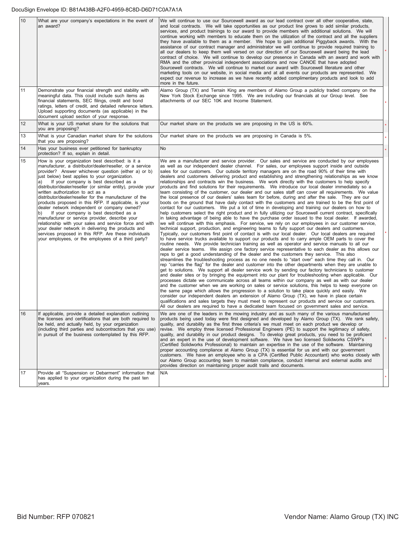#### DocuSign Envelope ID: B81A438B-A2F0-4959-8C8D-D6D71C0A7A1A

| 10 | What are your company's expectations in the event of<br>an award?                                                                                                                                                                                                                                                                                                                                                                                                                                                                                                                                                                                                                                                                                                                                                                                                                   | We will continue to use our Sourcewell award as our lead contract over all other cooperative, state,<br>and local contracts. We will take opportunities as our product line grows to add similar products,<br>services, and product trainings to our award to provide members with additional solutions. We will<br>continue working with members to educate them on the utilization of the contract and all the suppliers<br>they have available to them as a member. We hope to gain additional Piggyback awards. With the<br>assistance of our contract manager and administrator we will continue to provide required training to<br>all our dealers to keep them well versed on our direction of our Sourcewell award being the lead<br>contract of choice. We will continue to develop our presence in Canada with an award and work with<br>RMA and the other provincial independent associations and now CANOE that have adopted<br>Sourcewell contracts. We will continue to market our award with Sourcewell literature and other<br>marketing tools on our website, in social media and at all events our products are represented. We<br>expect our revenue to increase as we have recently added complimentary products and look to add<br>more in the future.                                                                                                                                                                                                                                                                                                                                                                                                                                                                                                                                                                                                                                                                                                                                                                                                                                                                                                                                                                                                                                                                                                                                                                                                                                                                                                                                                                                                                                                                                                                                                                                                                                                                                                                                                                                         |  |
|----|-------------------------------------------------------------------------------------------------------------------------------------------------------------------------------------------------------------------------------------------------------------------------------------------------------------------------------------------------------------------------------------------------------------------------------------------------------------------------------------------------------------------------------------------------------------------------------------------------------------------------------------------------------------------------------------------------------------------------------------------------------------------------------------------------------------------------------------------------------------------------------------|---------------------------------------------------------------------------------------------------------------------------------------------------------------------------------------------------------------------------------------------------------------------------------------------------------------------------------------------------------------------------------------------------------------------------------------------------------------------------------------------------------------------------------------------------------------------------------------------------------------------------------------------------------------------------------------------------------------------------------------------------------------------------------------------------------------------------------------------------------------------------------------------------------------------------------------------------------------------------------------------------------------------------------------------------------------------------------------------------------------------------------------------------------------------------------------------------------------------------------------------------------------------------------------------------------------------------------------------------------------------------------------------------------------------------------------------------------------------------------------------------------------------------------------------------------------------------------------------------------------------------------------------------------------------------------------------------------------------------------------------------------------------------------------------------------------------------------------------------------------------------------------------------------------------------------------------------------------------------------------------------------------------------------------------------------------------------------------------------------------------------------------------------------------------------------------------------------------------------------------------------------------------------------------------------------------------------------------------------------------------------------------------------------------------------------------------------------------------------------------------------------------------------------------------------------------------------------------------------------------------------------------------------------------------------------------------------------------------------------------------------------------------------------------------------------------------------------------------------------------------------------------------------------------------------------------------------------------------------------------------------------------------------------------------------------------------|--|
| 11 | Demonstrate your financial strength and stability with<br>meaningful data. This could include such items as<br>financial statements, SEC filings, credit and bond<br>ratings, letters of credit, and detailed reference letters.<br>Upload supporting documents (as applicable) in the<br>document upload section of your response.                                                                                                                                                                                                                                                                                                                                                                                                                                                                                                                                                 | Alamo Group (TX) and Terrain King are members of Alamo Group a publicly traded company on the<br>New York Stock Exchange since 1995. We are including our financials at our Group level. See<br>attachments of our SEC 10K and Income Statement.                                                                                                                                                                                                                                                                                                                                                                                                                                                                                                                                                                                                                                                                                                                                                                                                                                                                                                                                                                                                                                                                                                                                                                                                                                                                                                                                                                                                                                                                                                                                                                                                                                                                                                                                                                                                                                                                                                                                                                                                                                                                                                                                                                                                                                                                                                                                                                                                                                                                                                                                                                                                                                                                                                                                                                                                                    |  |
| 12 | What is your US market share for the solutions that<br>you are proposing?                                                                                                                                                                                                                                                                                                                                                                                                                                                                                                                                                                                                                                                                                                                                                                                                           | Our market share on the products we are proposing in the US is 60%.                                                                                                                                                                                                                                                                                                                                                                                                                                                                                                                                                                                                                                                                                                                                                                                                                                                                                                                                                                                                                                                                                                                                                                                                                                                                                                                                                                                                                                                                                                                                                                                                                                                                                                                                                                                                                                                                                                                                                                                                                                                                                                                                                                                                                                                                                                                                                                                                                                                                                                                                                                                                                                                                                                                                                                                                                                                                                                                                                                                                 |  |
| 13 | What is your Canadian market share for the solutions<br>that you are proposing?                                                                                                                                                                                                                                                                                                                                                                                                                                                                                                                                                                                                                                                                                                                                                                                                     | Our market share on the products we are proposing in Canada is 5%.                                                                                                                                                                                                                                                                                                                                                                                                                                                                                                                                                                                                                                                                                                                                                                                                                                                                                                                                                                                                                                                                                                                                                                                                                                                                                                                                                                                                                                                                                                                                                                                                                                                                                                                                                                                                                                                                                                                                                                                                                                                                                                                                                                                                                                                                                                                                                                                                                                                                                                                                                                                                                                                                                                                                                                                                                                                                                                                                                                                                  |  |
| 14 | Has your business ever petitioned for bankruptcy<br>protection? If so, explain in detail.                                                                                                                                                                                                                                                                                                                                                                                                                                                                                                                                                                                                                                                                                                                                                                                           | <b>No</b>                                                                                                                                                                                                                                                                                                                                                                                                                                                                                                                                                                                                                                                                                                                                                                                                                                                                                                                                                                                                                                                                                                                                                                                                                                                                                                                                                                                                                                                                                                                                                                                                                                                                                                                                                                                                                                                                                                                                                                                                                                                                                                                                                                                                                                                                                                                                                                                                                                                                                                                                                                                                                                                                                                                                                                                                                                                                                                                                                                                                                                                           |  |
| 15 | How is your organization best described: is it a<br>manufacturer, a distributor/dealer/reseller, or a service<br>provider? Answer whichever question (either a) or b)<br>just below) best applies to your organization.<br>If your company is best described as a<br>a)<br>distributor/dealer/reseller (or similar entity), provide your<br>written authorization to act as a<br>distributor/dealer/reseller for the manufacturer of the<br>products proposed in this RFP. If applicable, is your<br>dealer network independent or company owned?<br>If your company is best described as a<br>b)<br>manufacturer or service provider, describe your<br>relationship with your sales and service force and with<br>your dealer network in delivering the products and<br>services proposed in this RFP. Are these individuals<br>your employees, or the employees of a third party? | We are a manufacturer and service provider. Our sales and service are conducted by our employees<br>as well as our independent dealer channel. For sales, our employees support inside and outside<br>sales for our customers. Our outside territory managers are on the road 90% of their time with<br>dealers and customers delivering product and establishing and strengthening relationships as we know<br>relationships and contracts win the business. We work directly with the customers to help specify<br>products and find solutions for their requirements. We introduce our local dealer immediately so a<br>team consisting of the customer, our dealer and our sales staff can cover all requirements. We value<br>the local presence of our dealers' sales team for before, during and after the sale. They are our<br>boots on the ground that have daily contact with the customers and are trained to be the first point of<br>contact for our customers. We put a lot of time in developing and training our dealers on how to<br>help customers select the right product and in fully utilizing our Sourcewell current contract, specifically<br>in taking advantage of being able to have the purchase order issued to the local dealer. If awarded,<br>we will continue with this emphasis. For service, we rely on our employees in our customer service,<br>technical support, production, and engineering teams to fully support our dealers and customers.<br>Typically, our customers first point of contact is with our local dealer. Our local dealers are required<br>to have service trucks available to support our products and to carry ample OEM parts to cover the<br>routine needs. We provide technician training as well as operator and service manuals to all our<br>dealer service teams. We assign one factory service representative to each dealer as this allows our<br>reps to get a good understanding of the dealer and the customers they service. This also<br>streamlines the troubleshooting process as no one needs to "start over" each time they call in. Our<br>rep "carries the flag" for the dealer and customer into the other departments when they are unable to<br>get to solutions. We support all dealer service work by sending our factory technicians to customer<br>and dealer sites or by bringing the equipment into our plant for troubleshooting when applicable. Our<br>processes dictate we communicate across all teams within our company as well as with our dealer<br>and the customer when we are working on sales or service solutions, this helps to keep everyone on<br>the same page which allows the progression to a solution to take place quickly and easily. We<br>consider our independent dealers an extension of Alamo Group (TX), we have in place certain<br>qualifications and sales targets they must meet to represent our products and service our customers.<br>All our dealers are required to have a dedicated team focused on government sales and service. |  |
| 16 | If applicable, provide a detailed explanation outlining<br>the licenses and certifications that are both required to<br>be held, and actually held, by your organization<br>(including third parties and subcontractors that you use)<br>in pursuit of the business contemplated by this RFP.                                                                                                                                                                                                                                                                                                                                                                                                                                                                                                                                                                                       | We are one of the leaders in the mowing industry and as such many of the various manufactured<br>products being used today were first designed and developed by Alamo Group (TX). We rank safety,<br>quality, and durability as the first three criteria's we must meet on each product we develop or<br>revise. We employ three licensed Professional Engineers (PE) to support the legitimacy of safety,<br>quality, and durability in our product designs. To develop great products, you need to be proficient<br>and an expert in the use of development software. We have two licensed Solidworks CSWP's<br>(Certified Solidworks Professional) to maintain an expertise in the use of the software. Maintaining<br>proper accounting compliance at Alamo Group (TX) is essential for us and with our government<br>customers. We have an employee who is a CPA (Certified Public Accountant) who works closely with<br>our Alamo Group accounting team to maintain compliance, conduct internal and external audits and<br>provides direction on maintaining proper audit trails and documents.                                                                                                                                                                                                                                                                                                                                                                                                                                                                                                                                                                                                                                                                                                                                                                                                                                                                                                                                                                                                                                                                                                                                                                                                                                                                                                                                                                                                                                                                                                                                                                                                                                                                                                                                                                                                                                                                                                                                                              |  |
| 17 | Provide all "Suspension or Debarment" information that<br>has applied to your organization during the past ten<br>years.                                                                                                                                                                                                                                                                                                                                                                                                                                                                                                                                                                                                                                                                                                                                                            | N/A                                                                                                                                                                                                                                                                                                                                                                                                                                                                                                                                                                                                                                                                                                                                                                                                                                                                                                                                                                                                                                                                                                                                                                                                                                                                                                                                                                                                                                                                                                                                                                                                                                                                                                                                                                                                                                                                                                                                                                                                                                                                                                                                                                                                                                                                                                                                                                                                                                                                                                                                                                                                                                                                                                                                                                                                                                                                                                                                                                                                                                                                 |  |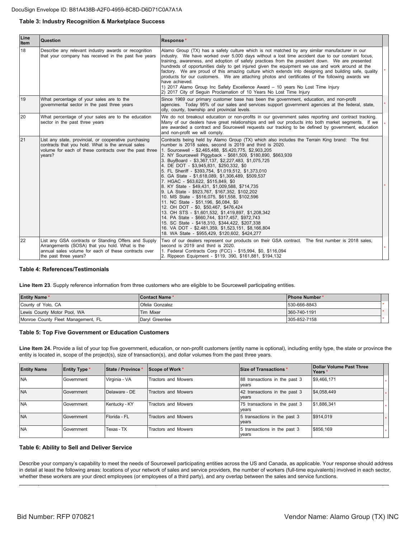#### Table 3: Industry Recognition & Marketplace Success

| Line<br><b>Item</b> | <b>Question</b>                                                                                                                                                                         | Response*                                                                                                                                                                                                                                                                                                                                                                                                                                                                                                                                                                                                                                                                                                                                                                                                                                                                                                                                                                                                                                      |  |
|---------------------|-----------------------------------------------------------------------------------------------------------------------------------------------------------------------------------------|------------------------------------------------------------------------------------------------------------------------------------------------------------------------------------------------------------------------------------------------------------------------------------------------------------------------------------------------------------------------------------------------------------------------------------------------------------------------------------------------------------------------------------------------------------------------------------------------------------------------------------------------------------------------------------------------------------------------------------------------------------------------------------------------------------------------------------------------------------------------------------------------------------------------------------------------------------------------------------------------------------------------------------------------|--|
| 18                  | Describe any relevant industry awards or recognition<br>that your company has received in the past five years                                                                           | Alamo Group (TX) has a safety culture which is not matched by any similar manufacturer in our<br>lindustry. We have worked over 5,000 days without a lost time accident due to our constant focus,<br>training, awareness, and adoption of safety practices from the president down. We are presented<br>hundreds of opportunities daily to get injured given the equipment we use and work around at the<br>factory. We are proud of this amazing culture which extends into designing and building safe, quality<br>products for our customers. We are attaching photos and certificates of the following awards we<br>have achieved.<br>1) 2017 Alamo Group Inc Safety Excellence Award - 10 years No Lost Time Injury<br>2) 2017 City of Sequin Proclamation of 10 Years No Lost Time Injury                                                                                                                                                                                                                                               |  |
| 19                  | What percentage of your sales are to the<br>governmental sector in the past three years                                                                                                 | Since 1969 our primary customer base has been the government, education, and non-profit<br>agencies. Today 95% of our sales and services support government agencies at the federal, state,<br>city, county, township and provincial levels.                                                                                                                                                                                                                                                                                                                                                                                                                                                                                                                                                                                                                                                                                                                                                                                                   |  |
| 20                  | What percentage of your sales are to the education<br>sector in the past three years                                                                                                    | We do not breakout education or non-profits in our government sales reporting and contract tracking.<br>Many of our dealers have great relationships and sell our products into both market segments. If we<br>are awarded a contract and Sourcewell requests our tracking to be defined by government, education<br>and non-profit we will comply.                                                                                                                                                                                                                                                                                                                                                                                                                                                                                                                                                                                                                                                                                            |  |
| 21                  | List any state, provincial, or cooperative purchasing<br>contracts that you hold. What is the annual sales<br>volume for each of these contracts over the past three<br>vears?          | Contracts being held by Alamo Group (TX) which also includes the Terrain King brand: The first<br>number is 2018 sales, second is 2019 and third is 2020.<br>1. Sourcewell - \$2,465,488, \$5,420,775, \$2,903,205<br>2. NY Sourcewell Piggyback - \$681,509, \$180,890, \$663,939<br>3. BuyBoard - \$3,367,137, \$2,227,483, \$1,075,725<br>4. DE DOT - \$3,945,831, \$250,332, \$0<br>5. FL Sheriff - \$393,754, \$1,019,512, \$1,373,010<br>6. GA State - \$1,618,089, \$1,306,489, \$509,537<br>7. HGAC - \$63,622, \$515,849, \$0<br>8. KY State - \$49,431, \$1,009,588, \$714,735<br>9. LA State - \$923,767, \$167,352, \$102,202<br>10. MS State - \$516,075, \$61,558, \$102,596<br>11. NC State - \$51,196, \$6,084, \$0<br>12. OH DOT - \$0, \$50,467, \$476,424<br>13. OH STS - \$1,601,532, \$1,419,897, \$1,208,342<br>14. PA State - \$660,744, \$317,457, \$972,743<br>15. SC State - \$418,310, \$344,422, \$207,338<br>16. VA DOT - \$2,481,359, \$1,523,151, \$8,166,804<br>18. WA State - \$955,429, \$120,602, \$424,277 |  |
| 22                  | List any GSA contracts or Standing Offers and Supply<br>Arrangements (SOSA) that you hold. What is the<br>annual sales volume for each of these contracts over<br>the past three years? | Two of our dealers represent our products on their GSA contract. The first number is 2018 sales,<br>second is 2019 and third is 2020.<br>1. Federal Contracts Corp (FCC) - \$15,994, \$0, \$116,094<br>2. Rippeon Equipment - \$119, 390, \$161,881, \$194,132                                                                                                                                                                                                                                                                                                                                                                                                                                                                                                                                                                                                                                                                                                                                                                                 |  |

### **Table 4: References/Testimonials**

Line Item 23. Supply reference information from three customers who are eligible to be Sourcewell participating entities.

| <b>Entity Name*</b>                | Contact Name*    | <b>IPhone Number*</b> |  |
|------------------------------------|------------------|-----------------------|--|
| County of Yolo, CA                 | Ofelia Gonzalez  | 530-666-8843          |  |
| Lewis County Motor Pool, WA        | <b>Tim Mixer</b> | 360-740-1191          |  |
| Monroe County Fleet Management, FL | Darvl Greenlee   | 305-852-7158          |  |

#### **Table 5: Top Five Government or Education Customers**

Line Item 24. Provide a list of your top five government, education, or non-profit customers (entity name is optional), including entity type, the state or province the entity is located in, scope of the project(s), size of transaction(s), and dollar volumes from the past three years.

| <b>Entity Name</b> | <b>Entity Type</b> | State / Province | Scope of Work *     | Size of Transactions *                 | Dollar Volume Past Three<br>lYears <sup>*</sup> |
|--------------------|--------------------|------------------|---------------------|----------------------------------------|-------------------------------------------------|
| <b>NA</b>          | Government         | Virginia - VA    | Tractors and Mowers | 88 transactions in the past 3<br>vears | \$9,466,171                                     |
| <b>NA</b>          | Government         | Delaware - DE    | Tractors and Mowers | 42 transactions in the past 3<br>vears | \$4,058,449                                     |
| <b>NA</b>          | Government         | Kentucky - KY    | Tractors and Mowers | 75 transactions in the past 3<br>vears | \$1,886,341                                     |
| <b>NA</b>          | Government         | Florida - FL     | Tractors and Mowers | 5 transactions in the past 3<br>vears  | \$914,019                                       |
| <b>NA</b>          | Government         | Texas - TX       | Tractors and Mowers | 5 transactions in the past 3<br>years  | \$856,169                                       |

#### **Table 6: Ability to Sell and Deliver Service**

Describe your company's capability to meet the needs of Sourcewell participating entities across the US and Canada, as applicable. Your response should address in detail at least the following areas: locations of your network of sales and service providers, the number of workers (full-time equivalents) involved in each sector, whether these workers are your direct employees (or employees of a third party), and any overlap between the sales and service functions.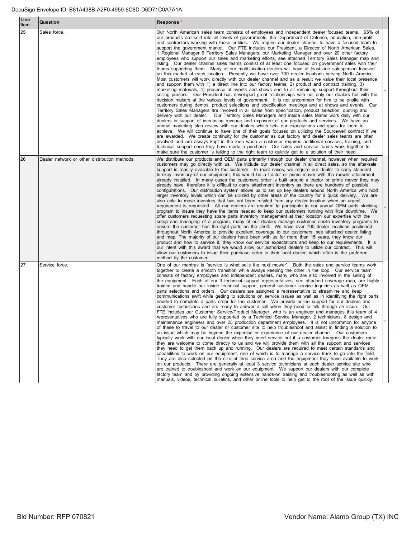| Line<br>Item | Question                                      | Response*                                                                                                                                                                                                                                                                                                                                                                                                                                                                                                                                                                                                                                                                                                                                                                                                                                                                                                                                                                                                                                                                                                                                                                                                                                                                                                                                                                                                                                                                                                                                                                                                                                                                                                                                                                                                                                                                                                                                                                                                                                                                                                                                                                                                                                                                                                                                                                                                                                                                                                                                                  |
|--------------|-----------------------------------------------|------------------------------------------------------------------------------------------------------------------------------------------------------------------------------------------------------------------------------------------------------------------------------------------------------------------------------------------------------------------------------------------------------------------------------------------------------------------------------------------------------------------------------------------------------------------------------------------------------------------------------------------------------------------------------------------------------------------------------------------------------------------------------------------------------------------------------------------------------------------------------------------------------------------------------------------------------------------------------------------------------------------------------------------------------------------------------------------------------------------------------------------------------------------------------------------------------------------------------------------------------------------------------------------------------------------------------------------------------------------------------------------------------------------------------------------------------------------------------------------------------------------------------------------------------------------------------------------------------------------------------------------------------------------------------------------------------------------------------------------------------------------------------------------------------------------------------------------------------------------------------------------------------------------------------------------------------------------------------------------------------------------------------------------------------------------------------------------------------------------------------------------------------------------------------------------------------------------------------------------------------------------------------------------------------------------------------------------------------------------------------------------------------------------------------------------------------------------------------------------------------------------------------------------------------------|
| 25           | Sales force.                                  | Our North American sales team consists of employees and independent dealer focused teams. 95% of<br>our products are sold into all levels of governments, the Department of Defense, education, non-profit<br>and contractors working with these entities. We require our dealer channel to have a focused team to<br>support the government market. Our FTE includes our President, a Director of North American Sales,<br>1 Regional Manager 6 Territory Sales Managers, our Marketing Manager and over 20 other factory<br>employees who support our sales and marketing efforts, see attached Territory Sales Manager map and<br>listing. Our dealer channel sales teams consist of at least one focused on government sales with their<br>teams supporting them. Many of our multi-location dealers will have at least one salesperson focused<br>on this market at each location. Presently we have over 700 dealer locations serving North America.<br>Most customers will work directly with our dealer channel and as a result we value their local presence<br>and support them with 1) a direct line into our factory teams, 2) product and contract training, 3)<br>marketing materials, 4) presence at events and shows and 5) all remaining support throughout their<br>selling process. Our President has developed great relationships with not only our dealers but with the<br>decision makers at the various levels of government. It is not uncommon for him to be onsite with<br>customers during demos, product selections and specification meetings and at shows and events. Our<br>Territory Sales Managers are involved in all sales from specification, product selection, quoting and<br>delivery with our dealer.  Our Territory Sales Managers and inside sales teams work daily with our<br>dealers in support of increasing revenue and exposure of our products and services. We have an<br>annual marketing plan review with our dealers which sets our expectations and goals for them to<br>achieve. We will continue to have one of their goals focused on utilizing the Sourcewell contract if we<br>are awarded. We create continuity for the customer as our factory and dealer sales teams are often<br>involved and are always kept in the loop when a customer requires additional services, training, and<br>technical support once they have made a purchase. Our sales and service teams work together to<br>make sure the customer is talking to the right team to quickly get to a solution of their need. |
| 26           | Dealer network or other distribution methods. | We distribute our products and OEM parts primarily through our dealer channel, however when required<br>customers may go directly with us. We include our dealer channel in all direct sales, so the after-sale<br>support is readily available to the customer. In most cases, we require our dealer to carry standard<br>turnkey inventory of our equipment, this would be a tractor or prime mover with the mower attachment<br>already installed. In many cases the customers order is built around a tractor or prime mover they may<br>already have, therefore it is difficult to carry attachment inventory as there are hundreds of possible<br>configurations. Our distribution system allows us to set up key dealers around North America who hold<br>larger inventory levels which can be utilized by other areas of the country for a quick delivery. We are<br>also able to move inventory that has not been retailed from any dealer location when an urgent<br>requirement is requested. All our dealers are required to participate in our annual OEM parts stocking<br>program to insure they have the items needed to keep our customers running with little downtime. We<br>offer customers requesting spare parts inventory management at their location our expertise with the<br>setup and managing of a program, many of our dealers manage customer onsite inventory programs to<br>ensure the customer has the right parts on the shelf. We have over 700 dealer locations positioned<br>throughout North America to provide excellent coverage to our customers, see attached dealer listing<br>and map. The majority of our dealers have been with us for more than 15 years, they know our<br>product and how to service it, they know our service expectations and keep to our requirements. It is<br>our intent with this award that we would allow our authorized dealers to utilize our contract. This will<br>allow our customers to issue their purchase order to their local dealer, which often is the preferred<br>method by the customer.                                                                                                                                                                                                                                                                                                                                                                                                                                                                           |
| 27           | Service force.                                | One of our mantras is "service is what sells the next mower". Both the sales and service teams work<br>together to create a smooth transition while always keeping the other in the loop. Our service team<br>consists of factory employees and independent dealers, many who are also involved in the selling of<br>the equipment. Each of our 3 technical support representatives, see attached coverage map, are highly<br>trained and handle our inside technical support, general customer service inquiries as well as OEM<br>parts selections and orders. Our dealers are assigned a representative to streamline and keep<br>communications swift while getting to solutions on service issues as well as in identifying the right parts<br>needed to complete a parts order for the customer. We provide online support for our dealers and<br>customer technicians and are ready to answer a call when they need to talk through an issue. Our<br>FTE includes our Customer Service/Product Manager, who is an engineer and manages this team of 4<br>representatives who are fully supported by a Technical Service Manager, 2 technicians, 8 design and<br>maintenance engineers and over 25 production department employees. It is not uncommon for anyone<br>of these to travel to our dealer or customer site to help troubleshoot and assist in finding a solution to<br>an issue which may be beyond the expertise or experience of our dealer channel. Our customers<br>typically work with our local dealer when they need service but if a customer foregoes the dealer route,<br>they are welcome to come directly to us and we will provide them with all the support and services<br>they need to get them back up and running. Our dealers are required to meet certain standards and<br>capabilities to work on our equipment, one of which is to manage a service truck to go into the field.<br>They are also selected on the size of their service area and the equipment they have available to work<br>on our products. There are generally at least 3 service technicians at each dealer service site who<br>are trained to troubleshoot and work on our equipment. We support our dealers with our complete<br>factory team and by providing ongoing extensive hands-on training and troubleshooting as well as with<br>manuals, videos, technical bulletins, and other online tools to help get to the root of the issue quickly.                                                                                         |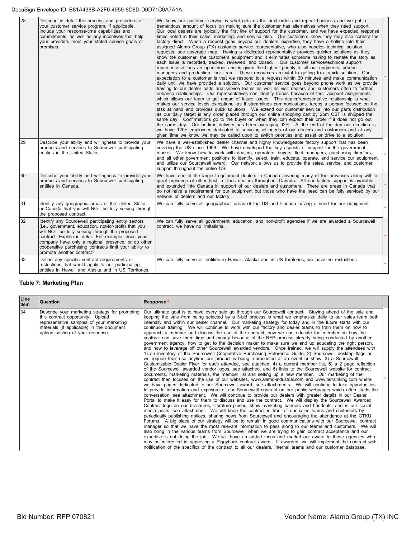#### DocuSign Envelope ID: B81A438B-A2F0-4959-8C8D-D6D71C0A7A1A

| 28 | Describe in detail the process and procedure of<br>your customer service program, if applicable.<br>Include your response-time capabilities and<br>commitments, as well as any incentives that help<br>your providers meet your stated service goals or<br>promises.                                                                                                 | We know our customer service is what gets us the next order and repeat business and we put a<br>tremendous amount of focus on making sure the customer has alternatives when they need support.<br>Our local dealers are typically the first line of support for the customer, and we have expected response<br>times noted in their sales, marketing, and service plan. Our customers know they may also contact the<br>factory direct. When a request goes beyond our dealers' expertise, they have a hotline into their<br>assigned Alamo Group (TX) customer service representative, who also handles technical solution<br>requests, see coverage map. Having a dedicated representative provides quicker solutions as they<br>know the customer, the customers equipment and it eliminates someone having to restate the story as<br>each issue is recorded, tracked, reviewed, and closed. Our customer service/technical support<br>representative has an open door and is given the highest priority to all our engineers, product<br>managers and production floor team. These resources are vital to getting to a quick solution. Our<br>expectation to a customer is that we respond to a request within 30 minutes and make communication<br>daily until we have provided a solution. Our customer service goes beyond phone work as we provide<br>training to our dealer parts and service teams as well as visit dealers and customers often to further<br>enhance relationships. Our representatives can identify trends because of their account assignments<br>which allows our team to get ahead of future issues. This dealer/representative relationship is what<br>makes our service levels exceptional as it streamlines communications, keeps a person focused on the<br>task at hand and provides quick solutions. We extend our customer service into our parts distribution<br>as our daily target is any order placed through our online shopping cart by 2pm CST is shipped the<br>same day. Confirmations go to the buyer on when they can expect their order if it does not go out<br>the same day. Our on-time delivery has been averaging 92%. At the end of the day our direction is<br>we have 120+ employees dedicated to servicing all needs of our dealers and customers and at any<br>given time we know we may be called upon to switch priorities and assist or drive to a solution. |  |
|----|----------------------------------------------------------------------------------------------------------------------------------------------------------------------------------------------------------------------------------------------------------------------------------------------------------------------------------------------------------------------|-------------------------------------------------------------------------------------------------------------------------------------------------------------------------------------------------------------------------------------------------------------------------------------------------------------------------------------------------------------------------------------------------------------------------------------------------------------------------------------------------------------------------------------------------------------------------------------------------------------------------------------------------------------------------------------------------------------------------------------------------------------------------------------------------------------------------------------------------------------------------------------------------------------------------------------------------------------------------------------------------------------------------------------------------------------------------------------------------------------------------------------------------------------------------------------------------------------------------------------------------------------------------------------------------------------------------------------------------------------------------------------------------------------------------------------------------------------------------------------------------------------------------------------------------------------------------------------------------------------------------------------------------------------------------------------------------------------------------------------------------------------------------------------------------------------------------------------------------------------------------------------------------------------------------------------------------------------------------------------------------------------------------------------------------------------------------------------------------------------------------------------------------------------------------------------------------------------------------------------------------------------------------------------------------------------------------------------------------------------------------------------------------------------------------------|--|
| 29 | Describe your ability and willingness to provide your<br>products and services to Sourcewell participating<br>entities in the United States.                                                                                                                                                                                                                         | We have a well-established dealer channel and highly knowledgeable factory support that has been<br>covering the US since 1969. We have developed the key aspects of support for the government<br>market. We know how to work with dealers, operators, buyers, fleet managers, purchasing directors,<br>and all other government positions to identify, select, train, educate, operate, and service our equipment<br>and utilize our Sourcewell award. Our network allows us to provide the sales, service, and customer<br>support throughout the entire US.                                                                                                                                                                                                                                                                                                                                                                                                                                                                                                                                                                                                                                                                                                                                                                                                                                                                                                                                                                                                                                                                                                                                                                                                                                                                                                                                                                                                                                                                                                                                                                                                                                                                                                                                                                                                                                                               |  |
| 30 | Describe your ability and willingness to provide your<br>products and services to Sourcewell participating<br>entities in Canada.                                                                                                                                                                                                                                    | We have one of the largest equipment dealers in Canada covering many of the provinces along with a<br>great presence of other best in class dealers throughout Canada. All our factory support is available<br>and extended into Canada in support of our dealers and customers. There are areas in Canada that<br>do not have a requirement for our equipment but those who have the need can be fully serviced by our<br>network of dealers and our factory.                                                                                                                                                                                                                                                                                                                                                                                                                                                                                                                                                                                                                                                                                                                                                                                                                                                                                                                                                                                                                                                                                                                                                                                                                                                                                                                                                                                                                                                                                                                                                                                                                                                                                                                                                                                                                                                                                                                                                                |  |
| 31 | Identify any geographic areas of the United States<br>or Canada that you will NOT be fully serving through<br>the proposed contract.                                                                                                                                                                                                                                 | We can fully serve all geographical areas of the US and Canada having a need for our equipment.                                                                                                                                                                                                                                                                                                                                                                                                                                                                                                                                                                                                                                                                                                                                                                                                                                                                                                                                                                                                                                                                                                                                                                                                                                                                                                                                                                                                                                                                                                                                                                                                                                                                                                                                                                                                                                                                                                                                                                                                                                                                                                                                                                                                                                                                                                                               |  |
| 32 | Identify any Sourcewell participating entity sectors<br>(i.e., government, education, not-for-profit) that you<br>will NOT be fully serving through the proposed<br>contract. Explain in detail. For example, does your<br>company have only a regional presence, or do other<br>cooperative purchasing contracts limit your ability to<br>promote another contract? | We can fully serve all government, education, and non-profit agencies if we are awarded a Sourcewell<br>contract, we have no limitations.                                                                                                                                                                                                                                                                                                                                                                                                                                                                                                                                                                                                                                                                                                                                                                                                                                                                                                                                                                                                                                                                                                                                                                                                                                                                                                                                                                                                                                                                                                                                                                                                                                                                                                                                                                                                                                                                                                                                                                                                                                                                                                                                                                                                                                                                                     |  |
| 33 | Define any specific contract requirements or<br>restrictions that would apply to our participating<br>entities in Hawaii and Alaska and in US Territories.                                                                                                                                                                                                           | We can fully serve all entities in Hawaii, Alaska and in US territories, we have no restrictions.                                                                                                                                                                                                                                                                                                                                                                                                                                                                                                                                                                                                                                                                                                                                                                                                                                                                                                                                                                                                                                                                                                                                                                                                                                                                                                                                                                                                                                                                                                                                                                                                                                                                                                                                                                                                                                                                                                                                                                                                                                                                                                                                                                                                                                                                                                                             |  |

## **Table 7: Marketing Plan**

| Line<br><b>Item</b> | <b>Question</b>                                                                                                                                                                                                  | Response*                                                                                                                                                                                                                                                                                                                                                                                                                                                                                                                                                                                                                                                                                                                                                                                                                                                                                                                                                                                                                                                                                                                                                                                                                                                                                                                                                                                                                                                                                                                                                                                                                                                                                                                                                                                                                                                                                                                                                                                                                                                                                                                                                                                                                                                                                                                                                                                                                                                                                                                                                                                                                                                                                                                                                                                                                                                                                                                                                                                                     |
|---------------------|------------------------------------------------------------------------------------------------------------------------------------------------------------------------------------------------------------------|---------------------------------------------------------------------------------------------------------------------------------------------------------------------------------------------------------------------------------------------------------------------------------------------------------------------------------------------------------------------------------------------------------------------------------------------------------------------------------------------------------------------------------------------------------------------------------------------------------------------------------------------------------------------------------------------------------------------------------------------------------------------------------------------------------------------------------------------------------------------------------------------------------------------------------------------------------------------------------------------------------------------------------------------------------------------------------------------------------------------------------------------------------------------------------------------------------------------------------------------------------------------------------------------------------------------------------------------------------------------------------------------------------------------------------------------------------------------------------------------------------------------------------------------------------------------------------------------------------------------------------------------------------------------------------------------------------------------------------------------------------------------------------------------------------------------------------------------------------------------------------------------------------------------------------------------------------------------------------------------------------------------------------------------------------------------------------------------------------------------------------------------------------------------------------------------------------------------------------------------------------------------------------------------------------------------------------------------------------------------------------------------------------------------------------------------------------------------------------------------------------------------------------------------------------------------------------------------------------------------------------------------------------------------------------------------------------------------------------------------------------------------------------------------------------------------------------------------------------------------------------------------------------------------------------------------------------------------------------------------------------------|
| 34                  | Describe your marketing strategy for promoting<br>this contract opportunity. Upload<br>representative samples of your marketing<br>materials (if applicable) in the document<br>upload section of your response. | Our ultimate goal is to have every sale go through our Sourcewell contract. Staying ahead of the sale and<br>keeping the sale from being selected by a 3-bid process is what we emphasize daily to our sales team both<br>internally and within our dealer channel. Our marketing strategy for today and in the future starts with our<br>continuous training. We will continue to work with our factory and dealer teams to train them on how to<br>approach a member and discuss the use of the contract, how we can educate the member on how the<br>contract can save them time and money because of the RFP process already being conducted by another<br>government agency, how to get to the decision maker to make sure we end up educating the right person,<br>and how to leverage off other Sourcewell awarded vendors. Once trained, we will supply the attendees with<br>1) an inventory of the Sourcewell Cooperative Purchasing Reference Guide, 2) Sourcewell desktop flags as<br>we require their use anytime our product is being represented at an event or show, 3) a Sourcewell<br>Customizable Dealer Flyer for each attendee, see attached, 4) a current member list, 5) a 2 page reflection<br>of the Sourcewell awarded vendor logos, see attached, and 6) links to the Sourcewell website for contract<br>documents, marketing materials, the member list and setting up a new member. Our marketing of the<br>contract then focuses on the use of our websites, www.alamo-industrial.com and www.terrainking.com where<br>we have pages dedicated to our Sourcewell award, see attachments. We will continue to take opportunities<br>to provide information and exposure of our Sourcewell contract on our public webpages which often starts the<br>conversation, see attachment. We will continue to provide our dealers with greater details in our Dealer<br>Portal to make it easy for them to discuss and use the contract. We will display the Sourcewell Awarded<br>Contract logo on our brochures, literature pieces, show marketing banners and handouts, and in our social<br>media posts, see attachment. We will keep the contract in front of our sales teams and customers by<br>periodically publishing notices, sharing news from Sourcewell and encouraging the attendance at the GTKU<br>Forums. A big piece of our strategy will be to remain in good communications with our Sourcewell contract<br>manager so that we have the most relevant information to pass along to our teams and customers. We will<br>also bring in the various teams from Sourcewell when we are trying to gain contract acceptance and our<br>expertise is not doing the job. We will have an added focus and market our award to those agencies who<br>may be interested in approving a Piggyback contract award. If awarded, we will implement the contract with<br>notification of the specifics of the contract to all our dealers, internal teams and our customer database. |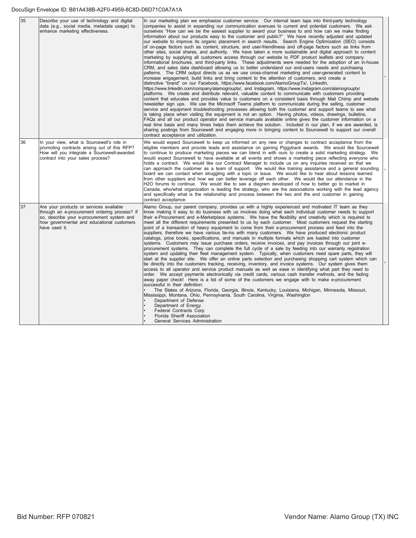#### DocuSign Envelope ID: B81A438B-A2F0-4959-8C8D-D6D71C0A7A1A

| 35 | Describe your use of technology and digital<br>data (e.g., social media, metadata usage) to<br>enhance marketing effectiveness.                                                                       | In our marketing plan we emphasize customer service. Our internal team taps into third-party technology<br>companies to assist in expanding our communication avenues to current and potential customers. We ask<br>ourselves "How can we be the easiest supplier to award your business to and how can we make finding<br>information about our products easy to the customer and public?" We have recently adjusted and updated<br>our website to improve its organic placement in search results. Search Engine Optimization (SEO) consists<br>of on-page factors such as content, structure, and user-friendliness and off-page factors such as links from<br>other sites, social shares, and authority. We have taken a more sustainable and digital approach to content<br>marketing by supplying all customers access through our website to PDF product leaflets and company<br>informational brochures, and third-party links. These adjustments were needed for the adoption of an in-house<br>CRM, and sales data dashboard allowing us to better understand our end-users needs and purchasing<br>patterns. The CRM output directs us as we use cross-channel marketing and user-generated content to<br>increase engagement, build links and bring content to the attention of customers, and create a<br>distinctive "brand" on our Facebook, https://www.facebook.com/AlamoGroupTx/, LinkedIn,<br>https://www.linkedin.com/company/alamogrouptx/, and Instagram, https://www.instagram.com/alamogrouptx/<br>platforms. We create and distribute relevant, valuable content to communicate with customers providing<br>content that educates and provides value to customers on a consistent basis through Mail Chimp and website<br>newsletter sign ups. We use the Microsoft Teams platform to communicate during the selling, customer<br>service and equipment troubleshooting processes allowing both the customer and support teams to see what<br>is taking place when visiting the equipment is not an option. Having photos, videos, drawings, bulletins,<br>FAQs and all our product operator and service manuals available online gives the customer information on a<br>real time basis and many times helps them achieve the solution. Included in our plan, if we are awarded, is<br>sharing postings from Sourcewell and engaging more in bringing content to Sourcewell to support our overall<br>contract acceptance and utilization. |  |
|----|-------------------------------------------------------------------------------------------------------------------------------------------------------------------------------------------------------|----------------------------------------------------------------------------------------------------------------------------------------------------------------------------------------------------------------------------------------------------------------------------------------------------------------------------------------------------------------------------------------------------------------------------------------------------------------------------------------------------------------------------------------------------------------------------------------------------------------------------------------------------------------------------------------------------------------------------------------------------------------------------------------------------------------------------------------------------------------------------------------------------------------------------------------------------------------------------------------------------------------------------------------------------------------------------------------------------------------------------------------------------------------------------------------------------------------------------------------------------------------------------------------------------------------------------------------------------------------------------------------------------------------------------------------------------------------------------------------------------------------------------------------------------------------------------------------------------------------------------------------------------------------------------------------------------------------------------------------------------------------------------------------------------------------------------------------------------------------------------------------------------------------------------------------------------------------------------------------------------------------------------------------------------------------------------------------------------------------------------------------------------------------------------------------------------------------------------------------------------------------------------------------------------------------------------------------------------------------------------------------------------------------------------------------------------------------------|--|
| 36 | In your view, what is Sourcewell's role in<br>promoting contracts arising out of this RFP?<br>How will you integrate a Sourcewell-awarded<br>contract into your sales process?                        | We would expect Sourcewell to keep us informed on any new or changes to contract acceptance from the<br>eligible members and provide leads and assistance on gaining Piggyback awards. We would like Sourcewell<br>to continue to produce marketing pieces we can blend in with ours to create a solid marketing strategy. We<br>would expect Sourcewell to have available at all events and shows a marketing piece reflecting everyone who<br>holds a contract. We would like our Contract Manager to include us on any inquiries received so that we<br>can approach the customer as a team of support. We would like training assistance and a general sounding<br>board we can contact when struggling with a topic or issue. We would like to hear about lessons learned<br>from other suppliers and how we can better leverage off each other. We would like our attendance in the<br>H2O forums to continue. We would like to see a diagram developed of how to better go to market in<br>Canada, who/what organization is leading the strategy, who are the associations working with the lead agency<br>and specifically what is the relationship and process between the two and the end customer in gaining<br>contract acceptance.                                                                                                                                                                                                                                                                                                                                                                                                                                                                                                                                                                                                                                                                                                                                                                                                                                                                                                                                                                                                                                                                                                                                                                                                                      |  |
| 37 | Are your products or services available<br>through an e-procurement ordering process? If<br>so, describe your e-procurement system and<br>how governmental and educational customers<br>have used it. | Alamo Group, our parent company, provides us with a highly experienced and motivated IT team as they<br>know making it easy to do business with us involves doing what each individual customer needs to support<br>their e-Procurement and e-Marketplace systems. We have the flexibility and creativity which is required to<br>meet all the different requirements presented to us by each customer. Most customers request the starting<br>point of a transaction of heavy equipment to come from their e-procurement process and feed into the<br>suppliers, therefore we have various tie-ins with many customers. We have produced electronic product<br>catalogs, price books, specifications, and manuals in multiple formats which are loaded into customer<br>systems. Customers may issue purchase orders, receive invoices, and pay invoices through our joint e-<br>procurement systems. They can complete the full cycle of a sale by feeding into our warranty registration<br>system and updating their fleet management system. Typically, when customers need spare parts, they will<br>start at the supplier site. We offer an online parts selection and purchasing shopping cart system which can<br>tie directly into the customers tracking, receiving, inventory, and invoice systems. Our system gives them<br>access to all operator and service product manuals as well as ease in identifying what part they need to<br>order. We accept payments electronically via credit cards, various cash transfer methods, and the fading<br>away paper check! Here is a list of some of the customers we engage with to make e-procurement<br>successful in their definition:<br>The States of Arizona, Florida, Georgia, Illinois, Kentucky, Louisiana, Michigan, Minnesota, Missouri,<br>Mississippi, Montana, Ohio, Pennsylvania, South Carolina, Virginia, Washington<br>Department of Defense<br>Department of Energy<br><b>Federal Contracts Corp</b><br>Florida Sheriff Association<br>General Services Administration                                                                                                                                                                                                                                                                                                                                                                                                                   |  |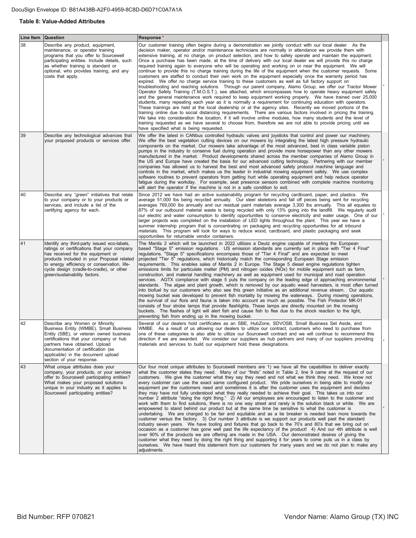## **Table 8: Value-Added Attributes**

| <b>Line Item</b> | <b>Question</b>                                                                                                                                                                                                                                                                                            | Response*                                                                                                                                                                                                                                                                                                                                                                                                                                                                                                                                                                                                                                                                                                                                                                                                                                                                                                                                                                                                                                                                                                                                                                                                                                                                                                                                                                                                                                                                                                                                                                                                                                                                                                                                                                                                                                                                      |  |
|------------------|------------------------------------------------------------------------------------------------------------------------------------------------------------------------------------------------------------------------------------------------------------------------------------------------------------|--------------------------------------------------------------------------------------------------------------------------------------------------------------------------------------------------------------------------------------------------------------------------------------------------------------------------------------------------------------------------------------------------------------------------------------------------------------------------------------------------------------------------------------------------------------------------------------------------------------------------------------------------------------------------------------------------------------------------------------------------------------------------------------------------------------------------------------------------------------------------------------------------------------------------------------------------------------------------------------------------------------------------------------------------------------------------------------------------------------------------------------------------------------------------------------------------------------------------------------------------------------------------------------------------------------------------------------------------------------------------------------------------------------------------------------------------------------------------------------------------------------------------------------------------------------------------------------------------------------------------------------------------------------------------------------------------------------------------------------------------------------------------------------------------------------------------------------------------------------------------------|--|
| 38               | Describe any product, equipment,<br>maintenance, or operator training<br>programs that you offer to Sourcewell<br>participating entities. Include details, such<br>as whether training is standard or<br>optional, who provides training, and any<br>costs that apply.                                     | Our customer training often begins during a demonstration we jointly conduct with our local dealer. As the<br>decision maker, operator and/or maintenance technicians are normally in attendance we provide them with<br>extensive training, at no charge, on product selection, and how to safely operate and maintain the equipment.<br>Once a purchase has been made, at the time of delivery with our local dealer we will provide this no charge<br>required training again to everyone who will be operating and working on or near the equipment. We will<br>continue to provide this no charge training during the life of the equipment when the customer requests. Some<br>customers are staffed to conduct their own work on the equipment especially once the warranty period has<br>expired. We offer no charge service training to these customers as well as full factory support on<br>troubleshooting and reaching solutions. Through our parent company, Alamo Group, we offer our Tractor Mower<br>Operator Safety Training (T.M.O.S.T.), see attached, which encompasses how to operate heavy equipment safely<br>and the general maintenance work required to keep equipment working properly. We have trained over 25,000<br>students, many repeating each year as it is normally a requirement for continuing education with operators.<br>These trainings are held at the local dealership or at the agency sites. Recently we moved portions of the<br>training online due to social distancing requirements. There are various factors involved in pricing the training.<br>We take into consideration the location, if it will involve online modules, how many students and the level of<br>training requested as we have several to choose from, therefore we are not able to provide pricing until we<br>have specified what is being requested. |  |
| 39               | Describe any technological advances that<br>your proposed products or services offer.                                                                                                                                                                                                                      | We offer the latest in CANbus controlled hydraulic valves and joysticks that control and power our machinery.<br>We offer the best vegetation cutting devices on our mowers by integrating the latest high pressure hydraulic<br>components on the market. Our mowers take advantage of the most advanced, best in class variable piston<br>pumps in the industry to conserve fuel during operation and provide more horsepower than any other mowers<br>manufactured in the market. Product developments shared across the member companies of Alamo Group in<br>the US and Europe have created the basis for our advanced cutting technology. Partnering with our member<br>companies has allowed us to harvest the best and most advanced safety protocol machine language and<br>controls in the market, which makes us the leader in industrial mowing equipment safety. We use complex<br>software routines to prevent operators from getting hurt while operating equipment and help reduce operator<br>fatigue during the workday. For example, seat presence sensors combined with complete machine monitoring<br>will alert the operator if the machine is not in a safe condition to exit.                                                                                                                                                                                                                                                                                                                                                                                                                                                                                                                                                                                                                                                                          |  |
| 40               | Describe any "green" initiatives that relate<br>to your company or to your products or<br>services, and include a list of the<br>certifying agency for each.                                                                                                                                               | Since 2012 we have had an active sustainability program for recycling cardboard, paper, and plastics. We<br>average 51,000 lbs being recycled annually. Our steel skeletons and fall off pieces being sent for recycling<br>averages 769,000 lbs annually and our residual paint materials average 3,300 lbs annually. This all equates to<br>87% of our outbound material waste is being recycled with only 13% going into the landfill. We regularly audit<br>our electric and water consumption to identify opportunities to conserve electricity and water usage. One of our<br>larger projects was completed on the installation of LED lights throughout the plant. This year we have a<br>summer internship program that is concentrating on packaging and recycling opportunities for all inbound<br>materials.  This program will look for ways to reduce wood, cardboard, and plastic packaging and seek<br>opportunities for returnable vendor containers.                                                                                                                                                                                                                                                                                                                                                                                                                                                                                                                                                                                                                                                                                                                                                                                                                                                                                                          |  |
| 41               | Identify any third-party issued eco-labels,<br>ratings or certifications that your company<br>has received for the equipment or<br>products included in your Proposal related<br>to energy efficiency or conservation, life-<br>cycle design (cradle-to-cradle), or other<br>green/sustainability factors. | The Mantis 2 which will be launched in 2022 utilizes a Deutz engine capable of meeting the European<br>based "Stage 5" emission regulations. US emission standards are currently set in place with "Tier 4 Final"<br>regulations. "Stage 5" specifications encompass those of "Tier 4 Final" and are expected to meet<br>projected "Tier 5" regulations, which historically match the corresponding European Stage emission<br>requirements. This enables sales of Mantis 2 in Europe. The Stage 5 diesel engine regulations tighten<br>emissions limits for particulate matter (PM) and nitrogen oxides (NOx) for mobile equipment such as farm,<br>construction, and material handling machinery as well as equipment used for municipal and road operation<br>services. AGTX compliance with stage 5 puts the company on the leading edge of approaching environmental<br>standards. The algae and plant growth, which is removed by our aquatic weed harvesters, is most often turned<br>into biofuel by our customers who also see this green initiative as an additional revenue stream. Our aquatic<br>mowing bucket was developed to prevent fish mortality by mowing the waterways. During mowing operations,<br>the survival of our flora and fauna is taken into account as much as possible. The Fish Protector MK-01<br>consists of four strobe lamps that provide flashlights. These lamps are directly mounted on the mowing<br>buckets. The flashes of light will alert fish and cause fish to flee due to the shock reaction to the light,<br>preventing fish from ending up in the mowing bucket.                                                                                                                                                                                                                                                            |  |
| 42               | Describe any Women or Minority<br>Business Entity (WMBE), Small Business<br>Entity (SBE), or veteran owned business<br>certifications that your company or hub<br>partners have obtained. Upload<br>documentation of certification (as<br>applicable) in the document upload<br>section of your response.  | Several of our dealers hold certificates as an SBE, HubZone, SDVOSB, Small Business Set Aside, and<br>WMBE. As a result of us allowing our dealers to utilize our contract, customers who need to purchase from<br>one of these categories is also able to utilize our Sourcewell contract and we will continue to recommend this<br>direction if we are awarded. We consider our suppliers as hub partners and many of our suppliers providing<br>materials and services to build our equipment hold these designations.                                                                                                                                                                                                                                                                                                                                                                                                                                                                                                                                                                                                                                                                                                                                                                                                                                                                                                                                                                                                                                                                                                                                                                                                                                                                                                                                                      |  |
| 43               | What unique attributes does your<br>company, your products, or your services<br>offer to Sourcewell participating entities?<br>What makes your proposed solutions<br>unique in your industry as it applies to<br>Sourcewell participating entities?                                                        | Our four most unique attributes to Sourcewell members are 1) we have all the capabilities to deliver exactly<br>what the customer states they need. Many of our "firsts" noted in Table 2, line 9 came at the request of our<br>customers. We give the customer what they say they need and not what we think they need. We know not<br>every customer can use the exact same configured product. We pride ourselves in being able to modify our<br>equipment per the customers need and sometimes it is after the customer uses the equipment and decides<br>they may have not fully understood what they really needed to achieve their goal. This takes us into our<br>number 2 attribute "doing the right thing." 2) All our employees are encouraged to listen to the customer and<br>work with them to find solutions, there is no one way street and rarely is the solution black or white. We are<br>empowered to stand behind our product but at the same time be sensitive to what the customer is<br>undertaking. We are charged to be fair and equitable and as a tie breaker is needed lean more towards the<br>customer versus the factory. 3) Our number 3 attribute is we support our products well past the standard<br>industry seven years. We have tooling and fixtures that go back to the 70's and 80's that we bring out on<br>occasion as a customer has gone well past the life expectancy of the product! 4) And our 4th attribute is well<br>over 90% of the products we are offering are made in the USA. Our demonstrated desires of giving the<br>customer what they need by doing the right thing and supporting it for years to come puts us in a class by<br>ourselves. We have heard this statement from our customers for many years and we do not plan to make any<br>adjustments.                                                         |  |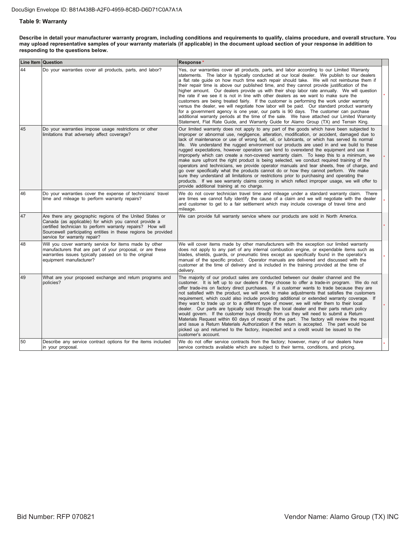## **Table 9: Warranty**

Describe in detail your manufacturer warranty program, including conditions and requirements to qualify, claims procedure, and overall structure. You may upload representative samples of your warranty materials (if applicable) in the document upload section of your response in addition to responding to the questions below.

|    | <b>Line Item Question</b>                                                                                                                                                                                                                                                         | <b>Response</b>                                                                                                                                                                                                                                                                                                                                                                                                                                                                                                                                                                                                                                                                                                                                                                                                                                                                                                                                                                                                                                                                                            |  |
|----|-----------------------------------------------------------------------------------------------------------------------------------------------------------------------------------------------------------------------------------------------------------------------------------|------------------------------------------------------------------------------------------------------------------------------------------------------------------------------------------------------------------------------------------------------------------------------------------------------------------------------------------------------------------------------------------------------------------------------------------------------------------------------------------------------------------------------------------------------------------------------------------------------------------------------------------------------------------------------------------------------------------------------------------------------------------------------------------------------------------------------------------------------------------------------------------------------------------------------------------------------------------------------------------------------------------------------------------------------------------------------------------------------------|--|
| 44 | Do your warranties cover all products, parts, and labor?                                                                                                                                                                                                                          | Yes, our warranties cover all products, parts, and labor according to our Limited Warranty<br>statements. The labor is typically conducted at our local dealer. We publish to our dealers<br>a flat rate quide on how much time each repair should take. We will not reimburse them if<br>their repair time is above our published time, and they cannot provide justification of the<br>higher amount. Our dealers provide us with their shop labor rate annually. We will question<br>the rate if we see it is not in line with other dealers as we want to make sure the<br>customers are being treated fairly. If the customer is performing the work under warranty<br>versus the dealer, we will negotiate how labor will be paid. Our standard product warranty<br>for a government agency is one year, our parts is 90 days. The customer can purchase<br>additional warranty periods at the time of the sale. We have attached our Limited Warranty<br>Statement, Flat Rate Guide, and Warranty Guide for Alamo Group (TX) and Terrain King.                                                      |  |
| 45 | Do your warranties impose usage restrictions or other<br>limitations that adversely affect coverage?                                                                                                                                                                              | Our limited warranty does not apply to any part of the goods which have been subjected to<br>improper or abnormal use, negligence, alteration, modification, or accident, damaged due to<br>lack of maintenance or use of wrong fuel, oil, or lubricants, or which has served its normal<br>life. We understand the rugged environment our products are used in and we build to these<br>rugged expectations, however operators can tend to overextend the equipment and use it<br>improperly which can create a non-covered warranty claim. To keep this to a minimum, we<br>make sure upfront the right product is being selected, we conduct required training of the<br>operators and technicians, we provide operator manuals and tear sheets, free of charge, and<br>go over specifically what the products cannot do or how they cannot perform. We make<br>sure they understand all limitations or restrictions prior to purchasing and operating the<br>products. If we see warranty claims coming in which reflect improper usage, we will offer to<br>provide additional training at no charge. |  |
| 46 | Do your warranties cover the expense of technicians' travel<br>time and mileage to perform warranty repairs?                                                                                                                                                                      | We do not cover technician travel time and mileage under a standard warranty claim. There<br>are times we cannot fully identify the cause of a claim and we will negotiate with the dealer<br>and customer to get to a fair settlement which may include coverage of travel time and<br>mileage.                                                                                                                                                                                                                                                                                                                                                                                                                                                                                                                                                                                                                                                                                                                                                                                                           |  |
| 47 | Are there any geographic regions of the United States or<br>Canada (as applicable) for which you cannot provide a<br>certified technician to perform warranty repairs? How will<br>Sourcewell participating entities in these regions be provided<br>service for warranty repair? | We can provide full warranty service where our products are sold in North America.                                                                                                                                                                                                                                                                                                                                                                                                                                                                                                                                                                                                                                                                                                                                                                                                                                                                                                                                                                                                                         |  |
| 48 | Will you cover warranty service for items made by other<br>manufacturers that are part of your proposal, or are these<br>warranties issues typically passed on to the original<br>equipment manufacturer?                                                                         | We will cover items made by other manufacturers with the exception our limited warranty<br>does not apply to any part of any internal combustion engine, or expendable items such as<br>blades, shields, guards, or pneumatic tires except as specifically found in the operator's<br>manual of the specific product. Operator manuals are delivered and discussed with the<br>customer at the time of delivery and is included in the training provided at the time of<br>delivery.                                                                                                                                                                                                                                                                                                                                                                                                                                                                                                                                                                                                                       |  |
| 49 | What are your proposed exchange and return programs and<br>policies?                                                                                                                                                                                                              | The majority of our product sales are conducted between our dealer channel and the<br>customer. It is left up to our dealers if they choose to offer a trade-in program. We do not<br>offer trade-ins on factory direct purchases. If a customer wants to trade because they are<br>not satisfied with the product, we will work to make adjustments that satisfies the customers<br>requirement, which could also include providing additional or extended warranty coverage. If<br>they want to trade up or to a different type of mower, we will refer them to their local<br>dealer. Our parts are typically sold through the local dealer and their parts return policy<br>would govern. If the customer buys directly from us they will need to submit a Return<br>Materials Request within 60 days of receipt of the part. The factory will review the request<br>and issue a Return Materials Authorization if the return is accepted. The part would be<br>picked up and returned to the factory, inspected and a credit would be issued to the<br>customer's account.                            |  |
| 50 | Describe any service contract options for the items included<br>in your proposal.                                                                                                                                                                                                 | We do not offer service contracts from the factory; however, many of our dealers have<br>service contracts available which are subject to their terms, conditions, and pricing.                                                                                                                                                                                                                                                                                                                                                                                                                                                                                                                                                                                                                                                                                                                                                                                                                                                                                                                            |  |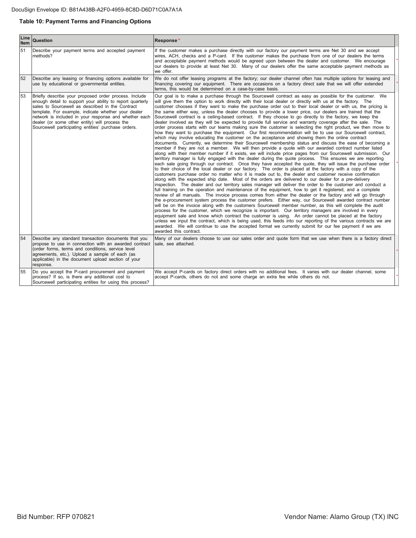## **Table 10: Payment Terms and Financing Options**

| Line<br><b>Item</b> | Question                                                                                                                                                                                                                                                                                                                                                                                        | Response*                                                                                                                                                                                                                                                                                                                                                                                                                                                                                                                                                                                                                                                                                                                                                                                                                                                                                                                                                                                                                                                                                                                                                                                                                                                                                                                                                                                                                                                                                                                                                                                                                                                                                                                                                                                                                                                                                                                                                                                                                                                                                                                                                                                                                                                                                                                                                                                                                                                                                                                                                                                                                                                                                                                                                                                                                                                                                                                                                         |
|---------------------|-------------------------------------------------------------------------------------------------------------------------------------------------------------------------------------------------------------------------------------------------------------------------------------------------------------------------------------------------------------------------------------------------|-------------------------------------------------------------------------------------------------------------------------------------------------------------------------------------------------------------------------------------------------------------------------------------------------------------------------------------------------------------------------------------------------------------------------------------------------------------------------------------------------------------------------------------------------------------------------------------------------------------------------------------------------------------------------------------------------------------------------------------------------------------------------------------------------------------------------------------------------------------------------------------------------------------------------------------------------------------------------------------------------------------------------------------------------------------------------------------------------------------------------------------------------------------------------------------------------------------------------------------------------------------------------------------------------------------------------------------------------------------------------------------------------------------------------------------------------------------------------------------------------------------------------------------------------------------------------------------------------------------------------------------------------------------------------------------------------------------------------------------------------------------------------------------------------------------------------------------------------------------------------------------------------------------------------------------------------------------------------------------------------------------------------------------------------------------------------------------------------------------------------------------------------------------------------------------------------------------------------------------------------------------------------------------------------------------------------------------------------------------------------------------------------------------------------------------------------------------------------------------------------------------------------------------------------------------------------------------------------------------------------------------------------------------------------------------------------------------------------------------------------------------------------------------------------------------------------------------------------------------------------------------------------------------------------------------------------------------------|
| 51                  | Describe your payment terms and accepted payment<br>methods?                                                                                                                                                                                                                                                                                                                                    | If the customer makes a purchase directly with our factory our payment terms are Net 30 and we accept<br>wires, ACH, checks and a P-card. If the customer makes the purchase from one of our dealers the terms<br>and acceptable payment methods would be agreed upon between the dealer and customer. We encourage<br>our dealers to provide at least Net 30. Many of our dealers offer the same acceptable payment methods as<br>we offer.                                                                                                                                                                                                                                                                                                                                                                                                                                                                                                                                                                                                                                                                                                                                                                                                                                                                                                                                                                                                                                                                                                                                                                                                                                                                                                                                                                                                                                                                                                                                                                                                                                                                                                                                                                                                                                                                                                                                                                                                                                                                                                                                                                                                                                                                                                                                                                                                                                                                                                                      |
| 52                  | Describe any leasing or financing options available for<br>use by educational or governmental entities.                                                                                                                                                                                                                                                                                         | We do not offer leasing programs at the factory; our dealer channel often has multiple options for leasing and<br>financing covering our equipment. There are occasions on a factory direct sale that we will offer extended<br>terms, this would be determined on a case-by-case basis.                                                                                                                                                                                                                                                                                                                                                                                                                                                                                                                                                                                                                                                                                                                                                                                                                                                                                                                                                                                                                                                                                                                                                                                                                                                                                                                                                                                                                                                                                                                                                                                                                                                                                                                                                                                                                                                                                                                                                                                                                                                                                                                                                                                                                                                                                                                                                                                                                                                                                                                                                                                                                                                                          |
| 53                  | Briefly describe your proposed order process. Include<br>enough detail to support your ability to report quarterly<br>sales to Sourcewell as described in the Contract<br>template. For example, indicate whether your dealer<br>network is included in your response and whether each<br>dealer (or some other entity) will process the<br>Sourcewell participating entities' purchase orders. | Our goal is to make a purchase through the Sourcewell contract as easy as possible for the customer. We<br>will give them the option to work directly with their local dealer or directly with us at the factory. The<br>customer chooses if they want to make the purchase order out to their local dealer or with us, the pricing is<br>the same either way, unless the dealer chooses to provide a lower price, our dealers are trained that the<br>Sourcewell contract is a ceiling-based contract. If they choose to go directly to the factory, we keep the<br>dealer involved as they will be expected to provide full service and warranty coverage after the sale. The<br>order process starts with our teams making sure the customer is selecting the right product, we then move to<br>how they want to purchase the equipment. Our first recommendation will be to use our Sourcewell contract,<br>which may involve educating the customer on the acceptance and showing them the online contract<br>documents. Currently, we determine their Sourcewell membership status and discuss the ease of becoming a<br>member if they are not a member. We will then provide a quote with our awarded contract number listed<br>along with their member number if it exists, we will include price pages from our Sourcewell submission. Our<br>territory manager is fully engaged with the dealer during the quote process. This ensures we are reporting<br>each sale going through our contract. Once they have accepted the quote, they will issue the purchase order<br>to their choice of the local dealer or our factory. The order is placed at the factory with a copy of the<br>customers purchase order no matter who it is made out to, the dealer and customer receive confirmation<br>along with the expected ship date. Most of the orders are delivered to our dealer for a pre-delivery<br>inspection. The dealer and our territory sales manager will deliver the order to the customer and conduct a<br>full training on the operation and maintenance of the equipment, how to get it registered, and a complete<br>review of all manuals. The invoice process comes from either the dealer or the factory and will go through<br>the e-procurement system process the customer prefers. Either way, our Sourcewell awarded contract number<br>will be on the invoice along with the customers Sourcewell member number, as this will complete the audit<br>process for the customer, which we recognize is important. Our territory managers are involved in every<br>equipment sale and know which contract the customer is using. An order cannot be placed at the factory<br>unless we input the contract, which is being used, this feeds into our reporting of the various contracts we are<br>awarded. We will continue to use the accepted format we currently submit for our fee payment if we are<br>awarded this contract. |
| 54                  | Describe any standard transaction documents that you<br>propose to use in connection with an awarded contract<br>(order forms, terms and conditions, service level<br>agreements, etc.). Upload a sample of each (as<br>applicable) in the document upload section of your<br>response.                                                                                                         | Many of our dealers choose to use our sales order and quote form that we use when there is a factory direct<br>sale, see attached.                                                                                                                                                                                                                                                                                                                                                                                                                                                                                                                                                                                                                                                                                                                                                                                                                                                                                                                                                                                                                                                                                                                                                                                                                                                                                                                                                                                                                                                                                                                                                                                                                                                                                                                                                                                                                                                                                                                                                                                                                                                                                                                                                                                                                                                                                                                                                                                                                                                                                                                                                                                                                                                                                                                                                                                                                                |
| 55                  | Do you accept the P-card procurement and payment<br>process? If so, is there any additional cost to<br>Sourcewell participating entities for using this process?                                                                                                                                                                                                                                | We accept P-cards on factory direct orders with no additional fees. It varies with our dealer channel, some<br>accept P-cards, others do not and some charge an extra fee while others do not.                                                                                                                                                                                                                                                                                                                                                                                                                                                                                                                                                                                                                                                                                                                                                                                                                                                                                                                                                                                                                                                                                                                                                                                                                                                                                                                                                                                                                                                                                                                                                                                                                                                                                                                                                                                                                                                                                                                                                                                                                                                                                                                                                                                                                                                                                                                                                                                                                                                                                                                                                                                                                                                                                                                                                                    |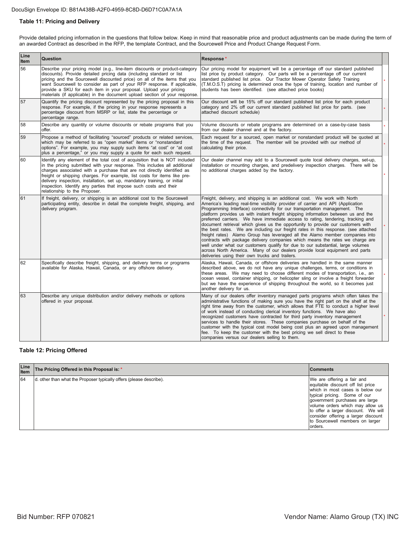#### DocuSign Envelope ID: B81A438B-A2F0-4959-8C8D-D6D71C0A7A1A

## **Table 11: Pricing and Delivery**

Provide detailed pricing information in the questions that follow below. Keep in mind that reasonable price and product adjustments can be made during the term of an awarded Contract as described in the RFP, the template Contract, and the Sourcewell Price and Product Change Request Form.

| Line<br>Item | Question                                                                                                                                                                                                                                                                                                                                                                                                                                                                                         | Response*                                                                                                                                                                                                                                                                                                                                                                                                                                                                                                                                                                                                                                                                                                                                                                                                                                                                                                                                                                         |  |
|--------------|--------------------------------------------------------------------------------------------------------------------------------------------------------------------------------------------------------------------------------------------------------------------------------------------------------------------------------------------------------------------------------------------------------------------------------------------------------------------------------------------------|-----------------------------------------------------------------------------------------------------------------------------------------------------------------------------------------------------------------------------------------------------------------------------------------------------------------------------------------------------------------------------------------------------------------------------------------------------------------------------------------------------------------------------------------------------------------------------------------------------------------------------------------------------------------------------------------------------------------------------------------------------------------------------------------------------------------------------------------------------------------------------------------------------------------------------------------------------------------------------------|--|
| 56           | Describe your pricing model (e.g., line-item discounts or product-category<br>discounts). Provide detailed pricing data (including standard or list<br>pricing and the Sourcewell discounted price) on all of the items that you<br>want Sourcewell to consider as part of your RFP response. If applicable,<br>provide a SKU for each item in your proposal. Upload your pricing<br>materials (if applicable) in the document upload section of your response.                                  | Our pricing model for equipment will be a percentage off our standard published<br>list price by product category. Our parts will be a percentage off our current<br>standard published list price. Our Tractor Mower Operator Safety Training<br>(T.M.O.S.T) pricing is determined once the type of training, location and number of<br>students has been identified. (see attached price books)                                                                                                                                                                                                                                                                                                                                                                                                                                                                                                                                                                                 |  |
| 57           | Quantify the pricing discount represented by the pricing proposal in this<br>response. For example, if the pricing in your response represents a<br>percentage discount from MSRP or list, state the percentage or<br>percentage range.                                                                                                                                                                                                                                                          | Our discount will be 15% off our standard published list price for each product<br>category and 2% off our current standard published list price for parts. (see<br>attached discount schedule)                                                                                                                                                                                                                                                                                                                                                                                                                                                                                                                                                                                                                                                                                                                                                                                   |  |
| 58           | Describe any quantity or volume discounts or rebate programs that you<br>offer.                                                                                                                                                                                                                                                                                                                                                                                                                  | Volume discounts or rebate programs are determined on a case-by-case basis<br>from our dealer channel and at the factory.                                                                                                                                                                                                                                                                                                                                                                                                                                                                                                                                                                                                                                                                                                                                                                                                                                                         |  |
| 59           | Propose a method of facilitating "sourced" products or related services,<br>which may be referred to as "open market" items or "nonstandard<br>options". For example, you may supply such items "at cost" or "at cost<br>plus a percentage," or you may supply a quote for each such request.                                                                                                                                                                                                    | Each request for a sourced, open market or nonstandard product will be quoted at<br>the time of the request. The member will be provided with our method of<br>calculating their price.                                                                                                                                                                                                                                                                                                                                                                                                                                                                                                                                                                                                                                                                                                                                                                                           |  |
| 60           | Identify any element of the total cost of acquisition that is NOT included<br>in the pricing submitted with your response. This includes all additional<br>charges associated with a purchase that are not directly identified as<br>freight or shipping charges. For example, list costs for items like pre-<br>delivery inspection, installation, set up, mandatory training, or initial<br>inspection. Identify any parties that impose such costs and their<br>relationship to the Proposer. | Our dealer channel may add to a Sourcewell quote local delivery charges, set-up,<br>installation or mounting charges, and predelivery inspection charges. There will be<br>no additional charges added by the factory.                                                                                                                                                                                                                                                                                                                                                                                                                                                                                                                                                                                                                                                                                                                                                            |  |
| 61           | If freight, delivery, or shipping is an additional cost to the Sourcewell<br>participating entity, describe in detail the complete freight, shipping, and<br>delivery program.                                                                                                                                                                                                                                                                                                                   | Freight, delivery, and shipping is an additional cost. We work with North<br>America's leading real-time visibility provider of carrier and API (Application<br>Programming Interface) connectivity for our transportation management. The<br>platform provides us with instant freight shipping information between us and the<br>preferred carriers. We have immediate access to rating, tendering, tracking and<br>document retrieval which gives us the opportunity to provide our customers with<br>the best rates. We are including our freight rates in this response. (see attached<br>freight rates) Alamo Group has leveraged all the Alamo member companies into<br>contracts with package delivery companies which means the rates we charge are<br>well under what our customers qualify for due to our substantial, large volumes<br>across North America. Many of our dealers provide local equipment and parts<br>deliveries using their own trucks and trailers. |  |
| 62           | Specifically describe freight, shipping, and delivery terms or programs<br>available for Alaska, Hawaii, Canada, or any offshore delivery.                                                                                                                                                                                                                                                                                                                                                       | Alaska, Hawaii, Canada, or offshore deliveries are handled in the same manner<br>described above, we do not have any unique challenges, terms, or conditions in<br>these areas. We may need to choose different modes of transportation, i.e., an<br>ocean vessel, container shipping, or helicopter sling or involve a freight forwarder<br>but we have the experience of shipping throughout the world, so it becomes just<br>another delivery for us.                                                                                                                                                                                                                                                                                                                                                                                                                                                                                                                          |  |
| 63           | Describe any unique distribution and/or delivery methods or options<br>offered in your proposal.                                                                                                                                                                                                                                                                                                                                                                                                 | Many of our dealers offer inventory managed parts programs which often takes the<br>administrative functions of making sure you have the right part on the shelf at the<br>right time away from the customer, which allows that FTE to conduct a higher level<br>of work instead of conducting clerical inventory functions. We have also<br>recognized customers have contracted for third party inventory management<br>services to handle their stores. These companies purchase on behalf of the<br>customer with the typical cost model being cost plus an agreed upon management<br>fee. To keep the customer with the best pricing we sell direct to these<br>companies versus our dealers selling to them.                                                                                                                                                                                                                                                                |  |

## **Table 12: Pricing Offered**

| Line<br>Item | The Pricing Offered in this Proposal is: *                          | <b>Comments</b>                                                                                                                                                                                                                                                                                                                       |
|--------------|---------------------------------------------------------------------|---------------------------------------------------------------------------------------------------------------------------------------------------------------------------------------------------------------------------------------------------------------------------------------------------------------------------------------|
| 64           | d. other than what the Proposer typically offers (please describe). | We are offering a fair and<br>equitable discount off list price<br>which in most cases is below our<br>typical pricing. Some of our<br>government purchases are large<br>volume orders which may allow us<br>to offer a larger discount. We will<br>consider offering a larger discount<br>to Sourcewell members on larger<br>orders. |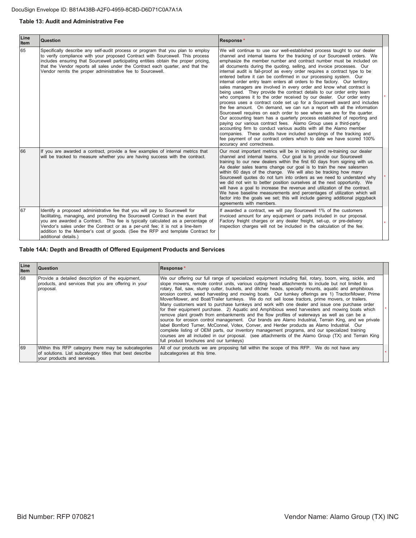## **Table 13: Audit and Administrative Fee**

| Line<br>Item | <b>Question</b>                                                                                                                                                                                                                                                                                                                                                                                                                             | Response*                                                                                                                                                                                                                                                                                                                                                                                                                                                                                                                                                                                                                                                                                                                                                                                                                                                                                                                                                                                                                                                                                                                                                                                                                                                                                                                                                                                        |  |
|--------------|---------------------------------------------------------------------------------------------------------------------------------------------------------------------------------------------------------------------------------------------------------------------------------------------------------------------------------------------------------------------------------------------------------------------------------------------|--------------------------------------------------------------------------------------------------------------------------------------------------------------------------------------------------------------------------------------------------------------------------------------------------------------------------------------------------------------------------------------------------------------------------------------------------------------------------------------------------------------------------------------------------------------------------------------------------------------------------------------------------------------------------------------------------------------------------------------------------------------------------------------------------------------------------------------------------------------------------------------------------------------------------------------------------------------------------------------------------------------------------------------------------------------------------------------------------------------------------------------------------------------------------------------------------------------------------------------------------------------------------------------------------------------------------------------------------------------------------------------------------|--|
| 65           | Specifically describe any self-audit process or program that you plan to employ<br>to verify compliance with your proposed Contract with Sourcewell. This process<br>includes ensuring that Sourcewell participating entities obtain the proper pricing,<br>that the Vendor reports all sales under the Contract each quarter, and that the<br>Vendor remits the proper administrative fee to Sourcewell.                                   | We will continue to use our well-established process taught to our dealer<br>channel and internal teams for the tracking of our Sourcewell orders. We<br>emphasize the member number and contract number must be included on<br>all documents during the quoting, selling, and invoice processes. Our<br>internal audit is fail-proof as every order requires a contract type to be<br>entered before it can be confirmed in our processing system. Our<br>internal order entry team enters all orders to the factory. Our territory<br>sales managers are involved in every order and know what contract is<br>being used. They provide the contract details to our order entry team<br>who compares it to the order received by our dealer. Our order entry<br>process uses a contract code set up for a Sourcewell award and includes<br>the fee amount. On demand, we can run a report with all the information<br>Sourcewell requires on each order to see where we are for the quarter.<br>Our accounting team has a quarterly process established of reporting and<br>paying our various contract fees. Alamo Group uses a third-party<br>accounting firm to conduct various audits with all the Alamo member<br>companies. These audits have included samplings of the tracking and<br>fee payment of our contract orders which to date we have scored 100%<br>accuracy and correctness. |  |
| 66           | If you are awarded a contract, provide a few examples of internal metrics that<br>will be tracked to measure whether you are having success with the contract.                                                                                                                                                                                                                                                                              | Our most important metrics will be in training and re-training our dealer<br>channel and internal teams. Our goal is to provide our Sourcewell<br>training to our new dealers within the first 60 days from signing with us.<br>As dealer sales teams change our goal is to train the new salesmen<br>within 60 days of the change. We will also be tracking how many<br>Sourcewell quotes do not turn into orders as we need to understand why<br>we did not win to better position ourselves at the next opportunity. We<br>will have a goal to increase the revenue and utilization of the contract.<br>We have baseline measurements and percentages of utilization which will<br>factor into the goals we set; this will include gaining additional piggyback<br>agreements with members.                                                                                                                                                                                                                                                                                                                                                                                                                                                                                                                                                                                                   |  |
| 67           | Identify a proposed administrative fee that you will pay to Sourcewell for<br>facilitating, managing, and promoting the Sourcewell Contract in the event that<br>you are awarded a Contract. This fee is typically calculated as a percentage of<br>Vendor's sales under the Contract or as a per-unit fee; it is not a line-item<br>addition to the Member's cost of goods. (See the RFP and template Contract for<br>additional details.) | If awarded a contract, we will pay Sourcewell 1% of the customers<br>invoiced amount for any equipment or parts included in our proposal.<br>Factory freight charges or any dealer freight, set-up, or pre-delivery<br>inspection charges will not be included in the calculation of the fee.                                                                                                                                                                                                                                                                                                                                                                                                                                                                                                                                                                                                                                                                                                                                                                                                                                                                                                                                                                                                                                                                                                    |  |

## Table 14A: Depth and Breadth of Offered Equipment Products and Services

| Line<br><b>Item</b> | Question                                                                                                                                       | Response*                                                                                                                                                                                                                                                                                                                                                                                                                                                                                                                                                                                                                                                                                                                                                                                                                                                                                                                                                                                                                                                                                                                                                                                                                                                                                            |  |
|---------------------|------------------------------------------------------------------------------------------------------------------------------------------------|------------------------------------------------------------------------------------------------------------------------------------------------------------------------------------------------------------------------------------------------------------------------------------------------------------------------------------------------------------------------------------------------------------------------------------------------------------------------------------------------------------------------------------------------------------------------------------------------------------------------------------------------------------------------------------------------------------------------------------------------------------------------------------------------------------------------------------------------------------------------------------------------------------------------------------------------------------------------------------------------------------------------------------------------------------------------------------------------------------------------------------------------------------------------------------------------------------------------------------------------------------------------------------------------------|--|
| 68                  | Provide a detailed description of the equipment,<br>products, and services that you are offering in your<br>proposal.                          | We our offering our full range of specialized equipment including flail, rotary, boom, wing, sickle, and<br>slope mowers, remote control units, various cutting head attachments to include but not limited to<br>rotary, flail, saw, stump cutter, buckets, and ditcher heads, specialty mounts, aquatic and amphibious<br>erosion control, weed harvesting and mowing boats. Our turnkey offerings are 1) Tractor/Mower, Prime<br>Mover/Mower, and Boat/Trailer turnkeys. We do not sell loose tractors, prime movers, or trailers.<br>Many customers want to purchase turnkeys and work with one dealer and issue one purchase order<br>for their equipment purchase. 2) Aquatic and Amphibious weed harvesters and mowing boats which<br>remove plant growth from embankments and the flow profiles of waterways as well as can be a<br>source for erosion control management. Our brands are Alamo Industrial, Terrain King, and we private<br>label Bomford Turner, McConnel, Votex, Conver, and Herder products as Alamo Industrial. Our<br>complete listing of OEM parts, our inventory management programs, and our specialized training<br>courses are all included in our proposal. (see attachments of the Alamo Group (TX) and Terrain King<br>full product brochures and our turnkeys) |  |
| 69                  | Within this RFP category there may be subcategories<br>of solutions. List subcategory titles that best describe<br>your products and services. | All of our products we are proposing fall within the scope of this RFP. We do not have any<br>subcategories at this time.                                                                                                                                                                                                                                                                                                                                                                                                                                                                                                                                                                                                                                                                                                                                                                                                                                                                                                                                                                                                                                                                                                                                                                            |  |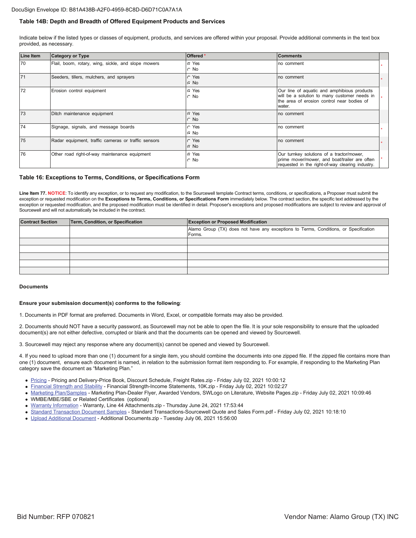### Table 14B: Depth and Breadth of Offered Equipment Products and Services

Indicate below if the listed types or classes of equipment, products, and services are offered within your proposal. Provide additional comments in the text box provided, as necessary.

| <b>Line Item</b> | <b>Category or Type</b>                             | Offered *                   | <b>Comments</b>                                                                                                                                     |  |
|------------------|-----------------------------------------------------|-----------------------------|-----------------------------------------------------------------------------------------------------------------------------------------------------|--|
| 70               | Flail, boom, rotary, wing, sickle, and slope mowers | $\subset$ Yes<br>$\circ$ No | no comment                                                                                                                                          |  |
| 71               | Seeders, tillers, mulchers, and sprayers            | $\cap$ Yes<br>$\cap$ No     | no comment                                                                                                                                          |  |
| 72               | Erosion control equipment                           | C Yes<br>C No               | Our line of aquatic and amphibious products<br>will be a solution to many customer needs in<br>the area of erosion control near bodies of<br>water. |  |
| 73               | Ditch maintenance equipment                         | $\subset$ Yes<br>$\cap$ No  | no comment                                                                                                                                          |  |
| 74               | Signage, signals, and message boards                | $\cap$ Yes<br>$\cap$ No     | no comment                                                                                                                                          |  |
| 75               | Radar equipment, traffic cameras or traffic sensors | $\cap$ Yes<br>$\cap$ No     | no comment                                                                                                                                          |  |
| 76               | Other road right-of-way maintenance equipment       | $\subset$ Yes<br>$\circ$ No | Our turnkey solutions of a tractor/mower,<br>prime mover/mower, and boat/trailer are often<br>requested in the right-of-way clearing industry.      |  |

#### Table 16: Exceptions to Terms, Conditions, or Specifications Form

Line Item 77. NOTICE: To identify any exception, or to request any modification, to the Sourcewell template Contract terms, conditions, or specifications, a Proposer must submit the exception or requested modification on the Exceptions to Terms, Conditions, or Specifications Form immediately below. The contract section, the specific text addressed by the exception or requested modification, and the proposed modification must be identified in detail. Proposer's exceptions and proposed modifications are subject to review and approval of Sourcewell and will not automatically be included in the contract.

| <b>Contract Section</b> | Term, Condition, or Specification | <b>Exception or Proposed Modification</b>                                                      |
|-------------------------|-----------------------------------|------------------------------------------------------------------------------------------------|
|                         |                                   | Alamo Group (TX) does not have any exceptions to Terms, Conditions, or Specification<br>Forms. |
|                         |                                   |                                                                                                |
|                         |                                   |                                                                                                |
|                         |                                   |                                                                                                |
|                         |                                   |                                                                                                |
|                         |                                   |                                                                                                |

#### Documents

#### Ensure your submission document(s) conforms to the following:

1. Documents in PDF format are preferred. Documents in Word, Excel, or compatible formats may also be provided.

2. Documents should NOT have a security password, as Sourcewell may not be able to open the file. It is your sole responsibility to ensure that the uploaded document(s) are not either defective, corrupted or blank and that the documents can be opened and viewed by Sourcewell.

3. Sourcewell may reject any response where any document(s) cannot be opened and viewed by Sourcewell.

4. If you need to upload more than one (1) document for a single item, you should combine the documents into one zipped file. If the zipped file contains more than one (1) document, ensure each document is named, in relation to the submission format item responding to. For example, if responding to the Marketing Plan category save the document as "Marketing Plan."

- Pricing Pricing and Delivery-Price Book, Discount Schedule, Freight Rates.zip Friday July 02, 2021 10:00:12
- Einancial Strength and Stability Financial Strength-Income Statements, 10K.zip Friday July 02, 2021 10:02:27
- Marketing Plan/Samples Marketing Plan-Dealer Flyer, Awarded Vendors, SWLogo on Literature, Website Pages.zip Friday July 02, 2021 10:09:46
- WMBE/MBE/SBE or Related Certificates (optional)
- · Warranty Information Warranty, Line 44 Attachments.zip Thursday June 24, 2021 17:53:44
- 6 Standard Transaction Document Samples Standard Transactions-Sourcewell Quote and Sales Form.pdf Friday July 02, 2021 10:18:10
- Upload Additional Document Additional Documents.zip Tuesday July 06, 2021 15:56:00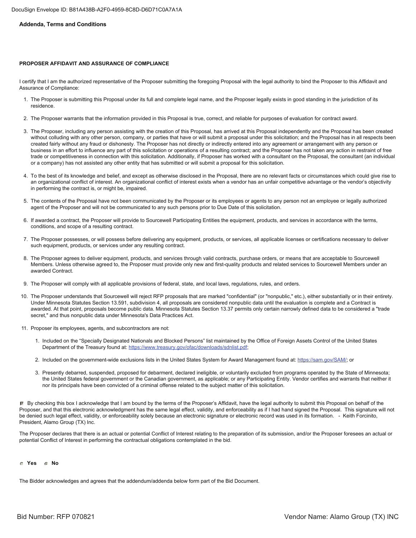## **Addenda, Terms and Conditions**

## **PROPOSER AFFIDAVIT AND ASSURANCE OF COMPLIANCE**

I certify that I am the authorized representative of the Proposer submitting the foregoing Proposal with the legal authority to bind the Proposer to this Affidavit and Assurance of Compliance:

- 1. The Proposer is submitting this Proposal under its full and complete legal name, and the Proposer legally exists in good standing in the jurisdiction of its residence.
- 2. The Proposer warrants that the information provided in this Proposal is true, correct, and reliable for purposes of evaluation for contract award.
- 3. The Proposer, including any person assisting with the creation of this Proposal, has arrived at this Proposal independently and the Proposal has been created without colluding with any other person, company, or parties that have or will submit a proposal under this solicitation; and the Proposal has in all respects been created fairly without any fraud or dishonesty. The Proposer has not directly or indirectly entered into any agreement or arrangement with any person or business in an effort to influence any part of this solicitation or operations of a resulting contract; and the Proposer has not taken any action in restraint of free trade or competitiveness in connection with this solicitation. Additionally, if Proposer has worked with a consultant on the Proposal, the consultant (an individual or a company) has not assisted any other entity that has submitted or will submit a proposal for this solicitation.
- 4. To the best of its knowledge and belief, and except as otherwise disclosed in the Proposal, there are no relevant facts or circumstances which could give rise to an organizational conflict of interest. An organizational conflict of interest exists when a vendor has an unfair competitive advantage or the vendor's objectivity in performing the contract is, or might be, impaired.
- 5. The contents of the Proposal have not been communicated by the Proposer or its employees or agents to any person not an employee or legally authorized agent of the Proposer and will not be communicated to any such persons prior to Due Date of this solicitation.
- 6. If awarded a contract, the Proposer will provide to Sourcewell Participating Entities the equipment, products, and services in accordance with the terms, conditions, and scope of a resulting contract.
- 7. The Proposer possesses, or will possess before delivering any equipment, products, or services, all applicable licenses or certifications necessary to deliver such equipment, products, or services under any resulting contract.
- 8. The Proposer agrees to deliver equipment, products, and services through valid contracts, purchase orders, or means that are acceptable to Sourcewell Members. Unless otherwise agreed to, the Proposer must provide only new and first-quality products and related services to Sourcewell Members under an awarded Contract.
- 9. The Proposer will comply with all applicable provisions of federal, state, and local laws, regulations, rules, and orders.
- 10. The Proposer understands that Sourcewell will reject RFP proposals that are marked "confidential" (or "nonpublic," etc.), either substantially or in their entirety. Under Minnesota Statutes Section 13.591, subdivision 4, all proposals are considered nonpublic data until the evaluation is complete and a Contract is awarded. At that point, proposals become public data. Minnesota Statutes Section 13.37 permits only certain narrowly defined data to be considered a "trade secret," and thus nonpublic data under Minnesota's Data Practices Act.
- 11. Proposer its employees, agents, and subcontractors are not:
	- 1. Included on the "Specially Designated Nationals and Blocked Persons" list maintained by the Office of Foreign Assets Control of the United States Department of the Treasury found at: https://www.treasury.gov/ofac/downloads/sdnlist.pdf;
	- 2. Included on the government-wide exclusions lists in the United States System for Award Management found at: https://sam.gov/SAM/; or
	- 3. Presently debarred, suspended, proposed for debarment, declared ineligible, or voluntarily excluded from programs operated by the State of Minnesota; the United States federal government or the Canadian government, as applicable; or any Participating Entity. Vendor certifies and warrants that neither it nor its principals have been convicted of a criminal offense related to the subject matter of this solicitation.

 $F$  By checking this box I acknowledge that I am bound by the terms of the Proposer's Affidavit, have the legal authority to submit this Proposal on behalf of the Proposer, and that this electronic acknowledgment has the same legal effect, validity, and enforceability as if I had hand signed the Proposal. This signature will not be denied such legal effect, validity, or enforceability solely because an electronic signature or electronic record was used in its formation. - Keith Forcinito, President, Alamo Group (TX) Inc.

The Proposer declares that there is an actual or potential Conflict of Interest relating to the preparation of its submission, and/or the Proposer foresees an actual or potential Conflict of Interest in performing the contractual obligations contemplated in the bid.

#### **6** Yes **6** No.

The Bidder acknowledges and agrees that the addendum/addenda below form part of the Bid Document.